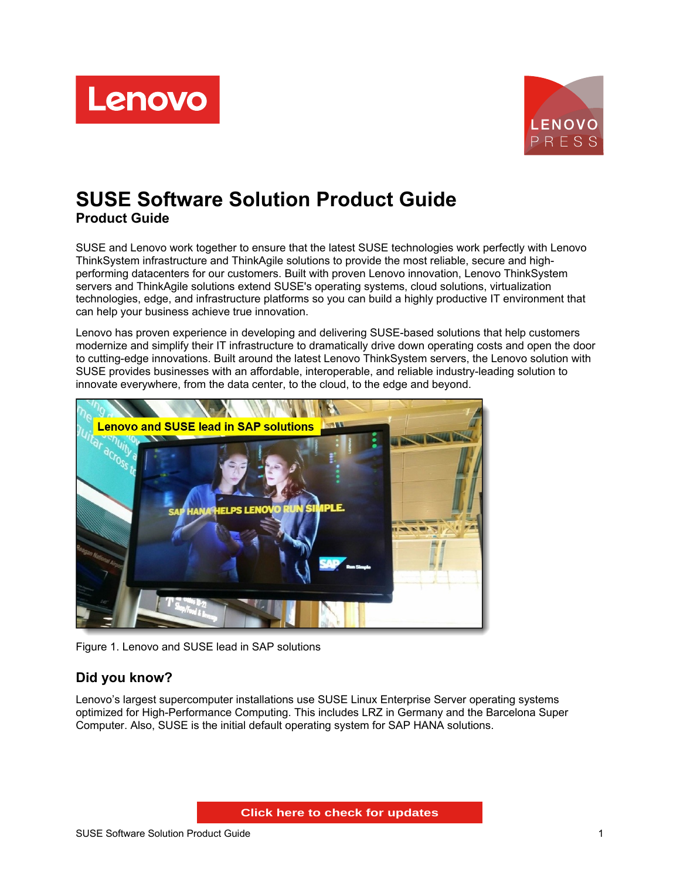



# **SUSE Software Solution Product Guide Product Guide**

SUSE and Lenovo work together to ensure that the latest SUSE technologies work perfectly with Lenovo ThinkSystem infrastructure and ThinkAgile solutions to provide the most reliable, secure and highperforming datacenters for our customers. Built with proven Lenovo innovation, Lenovo ThinkSystem servers and ThinkAgile solutions extend SUSE's operating systems, cloud solutions, virtualization technologies, edge, and infrastructure platforms so you can build a highly productive IT environment that can help your business achieve true innovation.

Lenovo has proven experience in developing and delivering SUSE-based solutions that help customers modernize and simplify their IT infrastructure to dramatically drive down operating costs and open the door to cutting-edge innovations. Built around the latest Lenovo ThinkSystem servers, the Lenovo solution with SUSE provides businesses with an affordable, interoperable, and reliable industry-leading solution to innovate everywhere, from the data center, to the cloud, to the edge and beyond.



Figure 1. Lenovo and SUSE lead in SAP solutions

# **Did you know?**

Lenovo's largest supercomputer installations use SUSE Linux Enterprise Server operating systems optimized for High-Performance Computing. This includes LRZ in Germany and the Barcelona Super Computer. Also, SUSE is the initial default operating system for SAP HANA solutions.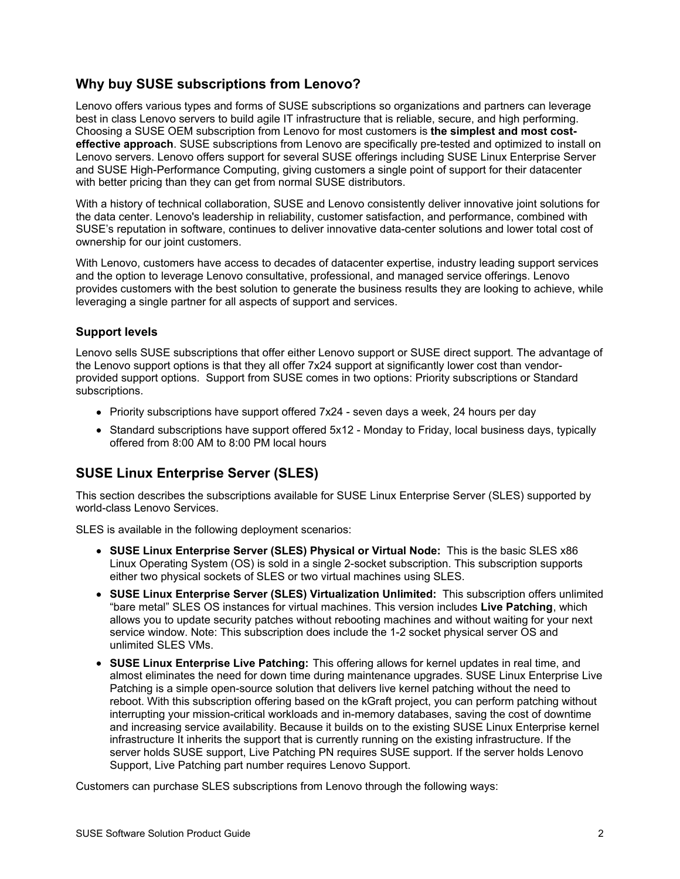# **Why buy SUSE subscriptions from Lenovo?**

Lenovo offers various types and forms of SUSE subscriptions so organizations and partners can leverage best in class Lenovo servers to build agile IT infrastructure that is reliable, secure, and high performing. Choosing a SUSE OEM subscription from Lenovo for most customers is **the simplest and most costeffective approach**. SUSE subscriptions from Lenovo are specifically pre-tested and optimized to install on Lenovo servers. Lenovo offers support for several SUSE offerings including SUSE Linux Enterprise Server and SUSE High-Performance Computing, giving customers a single point of support for their datacenter with better pricing than they can get from normal SUSE distributors.

With a history of technical collaboration, SUSE and Lenovo consistently deliver innovative joint solutions for the data center. Lenovo's leadership in reliability, customer satisfaction, and performance, combined with SUSE's reputation in software, continues to deliver innovative data-center solutions and lower total cost of ownership for our joint customers.

With Lenovo, customers have access to decades of datacenter expertise, industry leading support services and the option to leverage Lenovo consultative, professional, and managed service offerings. Lenovo provides customers with the best solution to generate the business results they are looking to achieve, while leveraging a single partner for all aspects of support and services.

### **Support levels**

Lenovo sells SUSE subscriptions that offer either Lenovo support or SUSE direct support. The advantage of the Lenovo support options is that they all offer 7x24 support at significantly lower cost than vendorprovided support options. Support from SUSE comes in two options: Priority subscriptions or Standard subscriptions.

- Priority subscriptions have support offered  $7x24$  seven days a week, 24 hours per day
- Standard subscriptions have support offered 5x12 Monday to Friday, local business days, typically offered from 8:00 AM to 8:00 PM local hours

### **SUSE Linux Enterprise Server (SLES)**

This section describes the subscriptions available for SUSE Linux Enterprise Server (SLES) supported by world-class Lenovo Services.

SLES is available in the following deployment scenarios:

- **SUSE Linux Enterprise Server (SLES) Physical or Virtual Node:** This is the basic SLES x86 Linux Operating System (OS) is sold in a single 2-socket subscription. This subscription supports either two physical sockets of SLES or two virtual machines using SLES.
- **SUSE Linux Enterprise Server (SLES) Virtualization Unlimited:** This subscription offers unlimited "bare metal" SLES OS instances for virtual machines. This version includes **Live Patching**, which allows you to update security patches without rebooting machines and without waiting for your next service window. Note: This subscription does include the 1-2 socket physical server OS and unlimited SLES VMs.
- **SUSE Linux Enterprise Live Patching:** This offering allows for kernel updates in real time, and almost eliminates the need for down time during maintenance upgrades. SUSE Linux Enterprise Live Patching is a simple open-source solution that delivers live kernel patching without the need to reboot. With this subscription offering based on the kGraft project, you can perform patching without interrupting your mission-critical workloads and in-memory databases, saving the cost of downtime and increasing service availability. Because it builds on to the existing SUSE Linux Enterprise kernel infrastructure It inherits the support that is currently running on the existing infrastructure. If the server holds SUSE support, Live Patching PN requires SUSE support. If the server holds Lenovo Support, Live Patching part number requires Lenovo Support.

Customers can purchase SLES subscriptions from Lenovo through the following ways: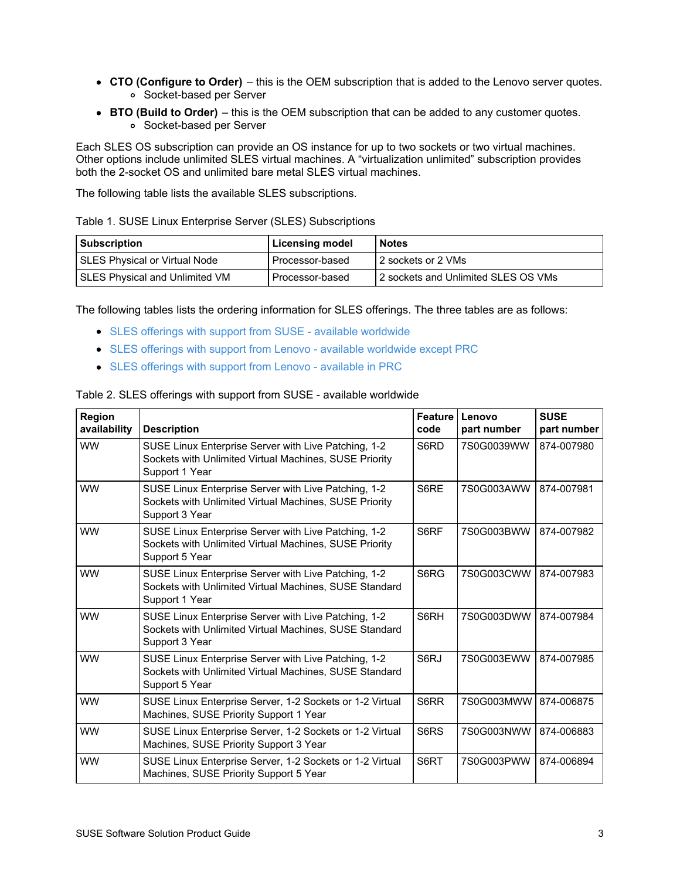- **CTO (Configure to Order)** this is the OEM subscription that is added to the Lenovo server quotes. Socket-based per Server
- **BTO (Build to Order)** this is the OEM subscription that can be added to any customer quotes. Socket-based per Server

Each SLES OS subscription can provide an OS instance for up to two sockets or two virtual machines. Other options include unlimited SLES virtual machines. A "virtualization unlimited" subscription provides both the 2-socket OS and unlimited bare metal SLES virtual machines.

The following table lists the available SLES subscriptions.

#### Table 1. SUSE Linux Enterprise Server (SLES) Subscriptions

| <b>Subscription</b>                   | <b>Licensing model</b> | <b>Notes</b>                          |
|---------------------------------------|------------------------|---------------------------------------|
| SLES Physical or Virtual Node         | Processor-based        | 2 sockets or 2 VMs                    |
| <b>SLES Physical and Unlimited VM</b> | Processor-based        | l 2 sockets and Unlimited SLES OS VMs |

The following tables lists the ordering information for SLES offerings. The three tables are as follows:

- SLES offerings with support from SUSE available [worldwide](#page-2-0)
- SLES offerings with support from Lenovo available [worldwide](#page-3-0) except PRC
- SLES offerings with support from Lenovo [available](#page-4-0) in PRC

#### <span id="page-2-0"></span>Table 2. SLES offerings with support from SUSE - available worldwide

| Region<br>availability | <b>Description</b>                                                                                                               | <b>Feature</b><br>code | Lenovo<br>part number | <b>SUSE</b><br>part number |
|------------------------|----------------------------------------------------------------------------------------------------------------------------------|------------------------|-----------------------|----------------------------|
| <b>WW</b>              | SUSE Linux Enterprise Server with Live Patching, 1-2<br>Sockets with Unlimited Virtual Machines, SUSE Priority<br>Support 1 Year | S6RD                   | 7S0G0039WW            | 874-007980                 |
| <b>WW</b>              | SUSE Linux Enterprise Server with Live Patching, 1-2<br>Sockets with Unlimited Virtual Machines, SUSE Priority<br>Support 3 Year | S6RE                   | 7S0G003AWW            | 874-007981                 |
| <b>WW</b>              | SUSE Linux Enterprise Server with Live Patching, 1-2<br>Sockets with Unlimited Virtual Machines, SUSE Priority<br>Support 5 Year | S6RF                   | 7S0G003BWW            | 874-007982                 |
| <b>WW</b>              | SUSE Linux Enterprise Server with Live Patching, 1-2<br>Sockets with Unlimited Virtual Machines, SUSE Standard<br>Support 1 Year | S6RG                   | 7S0G003CWW            | 874-007983                 |
| <b>WW</b>              | SUSE Linux Enterprise Server with Live Patching, 1-2<br>Sockets with Unlimited Virtual Machines, SUSE Standard<br>Support 3 Year | S6RH                   | 7S0G003DWW            | 874-007984                 |
| <b>WW</b>              | SUSE Linux Enterprise Server with Live Patching, 1-2<br>Sockets with Unlimited Virtual Machines, SUSE Standard<br>Support 5 Year | S6RJ                   | 7S0G003EWW            | 874-007985                 |
| <b>WW</b>              | SUSE Linux Enterprise Server, 1-2 Sockets or 1-2 Virtual<br>Machines, SUSE Priority Support 1 Year                               | S6RR                   | 7S0G003MWW            | 874-006875                 |
| <b>WW</b>              | SUSE Linux Enterprise Server, 1-2 Sockets or 1-2 Virtual<br>Machines, SUSE Priority Support 3 Year                               | S6RS                   | 7S0G003NWW            | 874-006883                 |
| <b>WW</b>              | SUSE Linux Enterprise Server, 1-2 Sockets or 1-2 Virtual<br>Machines, SUSE Priority Support 5 Year                               | S6RT                   | 7S0G003PWW            | 874-006894                 |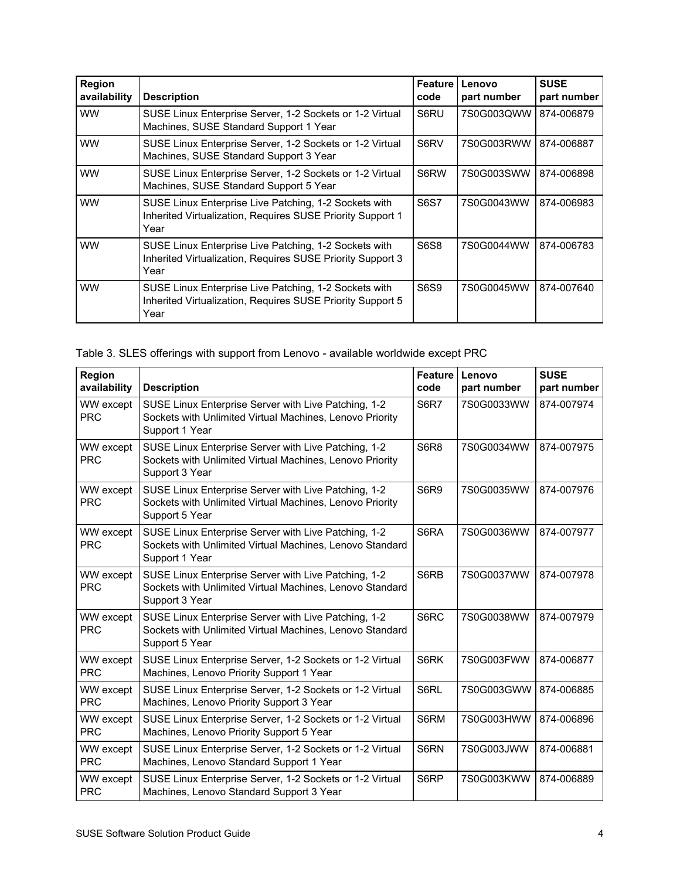| Region<br>availability | <b>Description</b>                                                                                                          | <b>Feature</b><br>code | Lenovo<br>part number | <b>SUSE</b><br>part number |
|------------------------|-----------------------------------------------------------------------------------------------------------------------------|------------------------|-----------------------|----------------------------|
| <b>WW</b>              | SUSE Linux Enterprise Server, 1-2 Sockets or 1-2 Virtual<br>Machines, SUSE Standard Support 1 Year                          | S6RU                   | 7S0G003QWW            | 874-006879                 |
| <b>WW</b>              | SUSE Linux Enterprise Server, 1-2 Sockets or 1-2 Virtual<br>Machines, SUSE Standard Support 3 Year                          | S6RV                   | 7S0G003RWW            | 874-006887                 |
| <b>WW</b>              | SUSE Linux Enterprise Server, 1-2 Sockets or 1-2 Virtual<br>Machines, SUSE Standard Support 5 Year                          | S6RW                   | 7S0G003SWW            | 874-006898                 |
| <b>WW</b>              | SUSE Linux Enterprise Live Patching, 1-2 Sockets with<br>Inherited Virtualization, Requires SUSE Priority Support 1<br>Year | <b>S6S7</b>            | 7S0G0043WW            | 874-006983                 |
| <b>WW</b>              | SUSE Linux Enterprise Live Patching, 1-2 Sockets with<br>Inherited Virtualization, Requires SUSE Priority Support 3<br>Year | <b>S6S8</b>            | 7S0G0044WW            | 874-006783                 |
| <b>WW</b>              | SUSE Linux Enterprise Live Patching, 1-2 Sockets with<br>Inherited Virtualization, Requires SUSE Priority Support 5<br>Year | S6S9                   | 7S0G0045WW            | 874-007640                 |

<span id="page-3-0"></span>Table 3. SLES offerings with support from Lenovo - available worldwide except PRC

| Region<br>availability         | <b>Description</b>                                                                                                                 | Feature<br>code | Lenovo<br>part number | <b>SUSE</b><br>part number |
|--------------------------------|------------------------------------------------------------------------------------------------------------------------------------|-----------------|-----------------------|----------------------------|
| WW except<br><b>PRC</b>        | SUSE Linux Enterprise Server with Live Patching, 1-2<br>Sockets with Unlimited Virtual Machines, Lenovo Priority<br>Support 1 Year | S6R7            | 7S0G0033WW            | 874-007974                 |
| <b>WW</b> except<br><b>PRC</b> | SUSE Linux Enterprise Server with Live Patching, 1-2<br>Sockets with Unlimited Virtual Machines, Lenovo Priority<br>Support 3 Year | S6R8            | 7S0G0034WW            | 874-007975                 |
| WW except<br><b>PRC</b>        | SUSE Linux Enterprise Server with Live Patching, 1-2<br>Sockets with Unlimited Virtual Machines, Lenovo Priority<br>Support 5 Year | S6R9            | 7S0G0035WW            | 874-007976                 |
| WW except<br><b>PRC</b>        | SUSE Linux Enterprise Server with Live Patching, 1-2<br>Sockets with Unlimited Virtual Machines, Lenovo Standard<br>Support 1 Year | S6RA            | 7S0G0036WW            | 874-007977                 |
| WW except<br><b>PRC</b>        | SUSE Linux Enterprise Server with Live Patching, 1-2<br>Sockets with Unlimited Virtual Machines, Lenovo Standard<br>Support 3 Year | S6RB            | 7S0G0037WW            | 874-007978                 |
| WW except<br><b>PRC</b>        | SUSE Linux Enterprise Server with Live Patching, 1-2<br>Sockets with Unlimited Virtual Machines, Lenovo Standard<br>Support 5 Year | S6RC            | 7S0G0038WW            | 874-007979                 |
| <b>WW</b> except<br><b>PRC</b> | SUSE Linux Enterprise Server, 1-2 Sockets or 1-2 Virtual<br>Machines, Lenovo Priority Support 1 Year                               | S6RK            | 7S0G003FWW            | 874-006877                 |
| <b>WW</b> except<br><b>PRC</b> | SUSE Linux Enterprise Server, 1-2 Sockets or 1-2 Virtual<br>Machines, Lenovo Priority Support 3 Year                               | S6RL            | 7S0G003GWW            | 874-006885                 |
| <b>WW</b> except<br><b>PRC</b> | SUSE Linux Enterprise Server, 1-2 Sockets or 1-2 Virtual<br>Machines, Lenovo Priority Support 5 Year                               | S6RM            | 7S0G003HWW            | 874-006896                 |
| <b>WW</b> except<br><b>PRC</b> | SUSE Linux Enterprise Server, 1-2 Sockets or 1-2 Virtual<br>Machines, Lenovo Standard Support 1 Year                               | S6RN            | 7S0G003JWW            | 874-006881                 |
| WW except<br><b>PRC</b>        | SUSE Linux Enterprise Server, 1-2 Sockets or 1-2 Virtual<br>Machines, Lenovo Standard Support 3 Year                               | S6RP            | 7S0G003KWW            | 874-006889                 |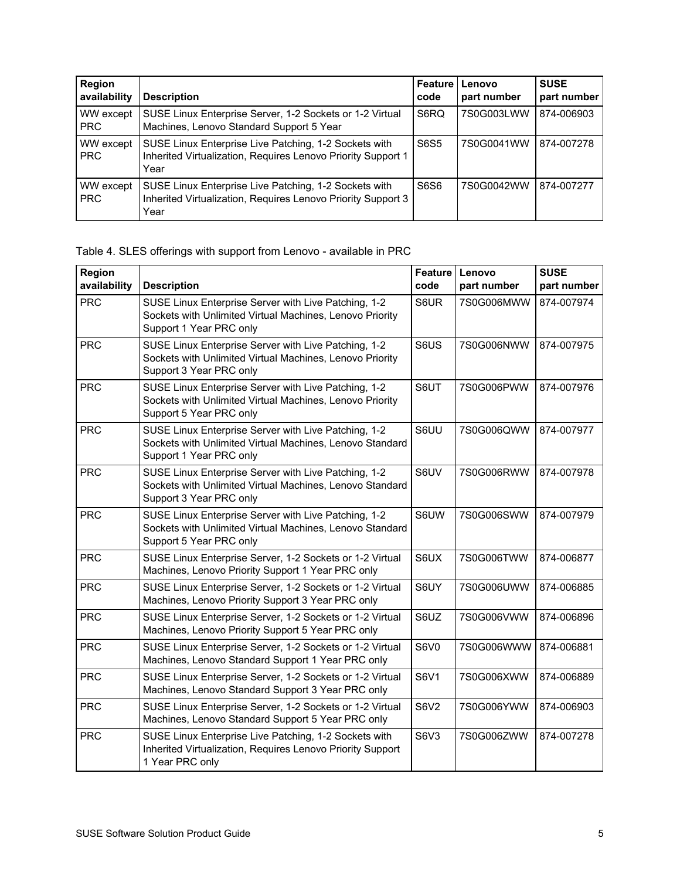| <b>Region</b><br>availability | <b>Description</b>                                                                                                            | Feature<br>code | Lenovo<br>part number | <b>SUSE</b><br>part number |
|-------------------------------|-------------------------------------------------------------------------------------------------------------------------------|-----------------|-----------------------|----------------------------|
| WW except<br><b>PRC</b>       | SUSE Linux Enterprise Server, 1-2 Sockets or 1-2 Virtual<br>Machines, Lenovo Standard Support 5 Year                          | S6RQ            | 7S0G003LWW            | 874-006903                 |
| WW except<br><b>PRC</b>       | SUSE Linux Enterprise Live Patching, 1-2 Sockets with<br>Inherited Virtualization, Requires Lenovo Priority Support 1<br>Year | <b>S6S5</b>     | 7S0G0041WW            | 874-007278                 |
| WW except<br><b>PRC</b>       | SUSE Linux Enterprise Live Patching, 1-2 Sockets with<br>Inherited Virtualization, Requires Lenovo Priority Support 3<br>Year | S6S6            | 7S0G0042WW            | 874-007277                 |

<span id="page-4-0"></span>Table 4. SLES offerings with support from Lenovo - available in PRC

| Region       |                                                                                                                                             | <b>Feature</b> | Lenovo      | <b>SUSE</b> |
|--------------|---------------------------------------------------------------------------------------------------------------------------------------------|----------------|-------------|-------------|
| availability | <b>Description</b>                                                                                                                          | code           | part number | part number |
| <b>PRC</b>   | SUSE Linux Enterprise Server with Live Patching, 1-2<br>Sockets with Unlimited Virtual Machines, Lenovo Priority<br>Support 1 Year PRC only | S6UR           | 7S0G006MWW  | 874-007974  |
| <b>PRC</b>   | SUSE Linux Enterprise Server with Live Patching, 1-2<br>Sockets with Unlimited Virtual Machines, Lenovo Priority<br>Support 3 Year PRC only | S6US           | 7S0G006NWW  | 874-007975  |
| <b>PRC</b>   | SUSE Linux Enterprise Server with Live Patching, 1-2<br>Sockets with Unlimited Virtual Machines, Lenovo Priority<br>Support 5 Year PRC only | S6UT           | 7S0G006PWW  | 874-007976  |
| <b>PRC</b>   | SUSE Linux Enterprise Server with Live Patching, 1-2<br>Sockets with Unlimited Virtual Machines, Lenovo Standard<br>Support 1 Year PRC only | S6UU           | 7S0G006QWW  | 874-007977  |
| <b>PRC</b>   | SUSE Linux Enterprise Server with Live Patching, 1-2<br>Sockets with Unlimited Virtual Machines, Lenovo Standard<br>Support 3 Year PRC only | S6UV           | 7S0G006RWW  | 874-007978  |
| <b>PRC</b>   | SUSE Linux Enterprise Server with Live Patching, 1-2<br>Sockets with Unlimited Virtual Machines, Lenovo Standard<br>Support 5 Year PRC only | S6UW           | 7S0G006SWW  | 874-007979  |
| <b>PRC</b>   | SUSE Linux Enterprise Server, 1-2 Sockets or 1-2 Virtual<br>Machines, Lenovo Priority Support 1 Year PRC only                               | S6UX           | 7S0G006TWW  | 874-006877  |
| <b>PRC</b>   | SUSE Linux Enterprise Server, 1-2 Sockets or 1-2 Virtual<br>Machines, Lenovo Priority Support 3 Year PRC only                               | S6UY           | 7S0G006UWW  | 874-006885  |
| <b>PRC</b>   | SUSE Linux Enterprise Server, 1-2 Sockets or 1-2 Virtual<br>Machines, Lenovo Priority Support 5 Year PRC only                               | S6UZ           | 7S0G006VWW  | 874-006896  |
| <b>PRC</b>   | SUSE Linux Enterprise Server, 1-2 Sockets or 1-2 Virtual<br>Machines, Lenovo Standard Support 1 Year PRC only                               | <b>S6V0</b>    | 7S0G006WWW  | 874-006881  |
| <b>PRC</b>   | SUSE Linux Enterprise Server, 1-2 Sockets or 1-2 Virtual<br>Machines, Lenovo Standard Support 3 Year PRC only                               | S6V1           | 7S0G006XWW  | 874-006889  |
| <b>PRC</b>   | SUSE Linux Enterprise Server, 1-2 Sockets or 1-2 Virtual<br>Machines, Lenovo Standard Support 5 Year PRC only                               | <b>S6V2</b>    | 7S0G006YWW  | 874-006903  |
| <b>PRC</b>   | SUSE Linux Enterprise Live Patching, 1-2 Sockets with<br>Inherited Virtualization, Requires Lenovo Priority Support<br>1 Year PRC only      | <b>S6V3</b>    | 7S0G006ZWW  | 874-007278  |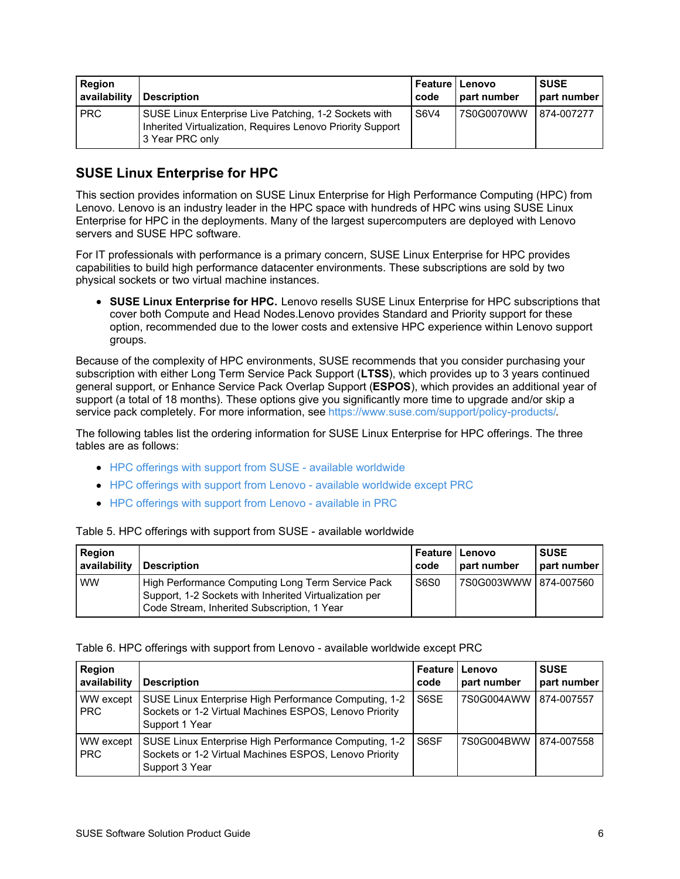| Region<br>availability | <b>Description</b>                                                                                                                     | l Feature I Lenovo<br>l code | part number | <b>SUSE</b><br>part number |
|------------------------|----------------------------------------------------------------------------------------------------------------------------------------|------------------------------|-------------|----------------------------|
| <b>PRC</b>             | SUSE Linux Enterprise Live Patching, 1-2 Sockets with<br>Inherited Virtualization, Requires Lenovo Priority Support<br>3 Year PRC only | S6V4                         | 17S0G0070WW | 874-007277                 |

# **SUSE Linux Enterprise for HPC**

This section provides information on SUSE Linux Enterprise for High Performance Computing (HPC) from Lenovo. Lenovo is an industry leader in the HPC space with hundreds of HPC wins using SUSE Linux Enterprise for HPC in the deployments. Many of the largest supercomputers are deployed with Lenovo servers and SUSE HPC software.

For IT professionals with performance is a primary concern, SUSE Linux Enterprise for HPC provides capabilities to build high performance datacenter environments. These subscriptions are sold by two physical sockets or two virtual machine instances.

**SUSE Linux Enterprise for HPC.** Lenovo resells SUSE Linux Enterprise for HPC subscriptions that cover both Compute and Head Nodes.Lenovo provides Standard and Priority support for these option, recommended due to the lower costs and extensive HPC experience within Lenovo support groups.

Because of the complexity of HPC environments, SUSE recommends that you consider purchasing your subscription with either Long Term Service Pack Support (**LTSS**), which provides up to 3 years continued general support, or Enhance Service Pack Overlap Support (**ESPOS**), which provides an additional year of support (a total of 18 months). These options give you significantly more time to upgrade and/or skip a service pack completely. For more information, see <https://www.suse.com/support/policy-products/>

The following tables list the ordering information for SUSE Linux Enterprise for HPC offerings. The three tables are as follows:

- HPC offerings with support from SUSE available [worldwide](#page-5-0)
- HPC offerings with support from Lenovo available [worldwide](#page-6-0) except PRC
- HPC offerings with support from Lenovo [available](#page-7-0) in PRC

| Region<br>availability | <b>Description</b>                                                                                          | <b>Feature Lenovo</b><br>code | part number           | <b>SUSE</b><br>part number |
|------------------------|-------------------------------------------------------------------------------------------------------------|-------------------------------|-----------------------|----------------------------|
| <b>WW</b>              | High Performance Computing Long Term Service Pack<br>Support, 1-2 Sockets with Inherited Virtualization per | S6S0                          | 7S0G003WWW 874-007560 |                            |
|                        | Code Stream, Inherited Subscription, 1 Year                                                                 |                               |                       |                            |

#### <span id="page-5-0"></span>Table 5. HPC offerings with support from SUSE - available worldwide

Table 6. HPC offerings with support from Lenovo - available worldwide except PRC

| <b>Region</b><br>availability | <b>Description</b>                                                                                                                | Feature<br>code | Lenovo<br>part number | <b>SUSE</b><br>part number |
|-------------------------------|-----------------------------------------------------------------------------------------------------------------------------------|-----------------|-----------------------|----------------------------|
| WW except<br><b>PRC</b>       | SUSE Linux Enterprise High Performance Computing, 1-2<br>Sockets or 1-2 Virtual Machines ESPOS, Lenovo Priority<br>Support 1 Year | S6SE            | 7S0G004AWW            | 874-007557                 |
| WW except<br><b>PRC</b>       | SUSE Linux Enterprise High Performance Computing, 1-2<br>Sockets or 1-2 Virtual Machines ESPOS, Lenovo Priority<br>Support 3 Year | S6SF            | 7S0G004BWW            | 874-007558                 |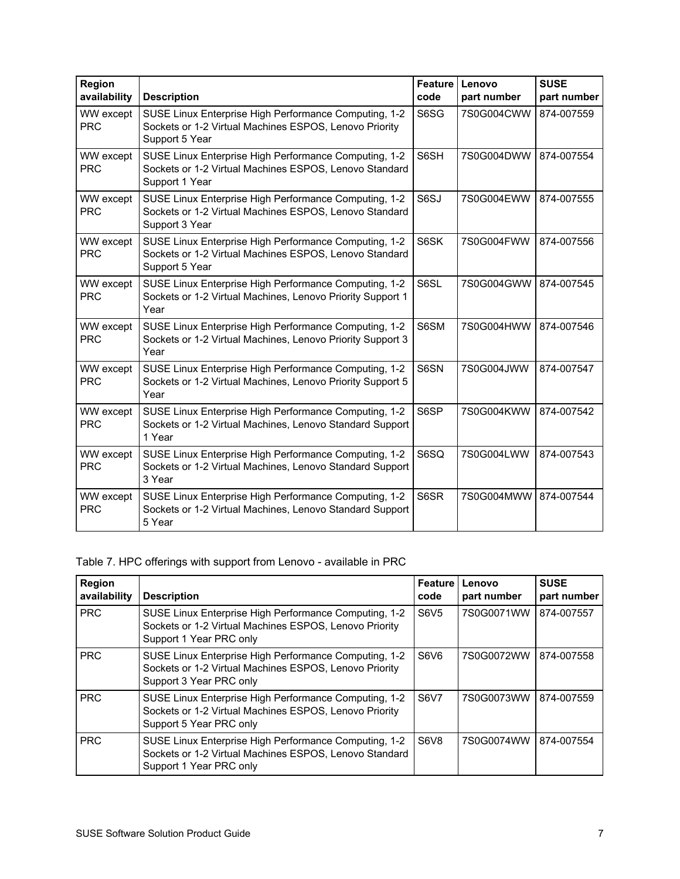<span id="page-6-0"></span>

| Region<br>availability         | <b>Description</b>                                                                                                                | <b>Feature</b><br>code | Lenovo<br>part number | <b>SUSE</b><br>part number |
|--------------------------------|-----------------------------------------------------------------------------------------------------------------------------------|------------------------|-----------------------|----------------------------|
| WW except<br><b>PRC</b>        | SUSE Linux Enterprise High Performance Computing, 1-2<br>Sockets or 1-2 Virtual Machines ESPOS, Lenovo Priority<br>Support 5 Year | S6SG                   | 7S0G004CWW            | 874-007559                 |
| <b>WW</b> except<br><b>PRC</b> | SUSE Linux Enterprise High Performance Computing, 1-2<br>Sockets or 1-2 Virtual Machines ESPOS, Lenovo Standard<br>Support 1 Year | S6SH                   | 7S0G004DWW            | 874-007554                 |
| <b>WW</b> except<br><b>PRC</b> | SUSE Linux Enterprise High Performance Computing, 1-2<br>Sockets or 1-2 Virtual Machines ESPOS, Lenovo Standard<br>Support 3 Year | S6SJ                   | 7S0G004EWW            | 874-007555                 |
| WW except<br><b>PRC</b>        | SUSE Linux Enterprise High Performance Computing, 1-2<br>Sockets or 1-2 Virtual Machines ESPOS, Lenovo Standard<br>Support 5 Year | S6SK                   | 7S0G004FWW            | 874-007556                 |
| <b>WW</b> except<br><b>PRC</b> | SUSE Linux Enterprise High Performance Computing, 1-2<br>Sockets or 1-2 Virtual Machines, Lenovo Priority Support 1<br>Year       | S6SL                   | 7S0G004GWW            | 874-007545                 |
| <b>WW</b> except<br><b>PRC</b> | SUSE Linux Enterprise High Performance Computing, 1-2<br>Sockets or 1-2 Virtual Machines, Lenovo Priority Support 3<br>Year       | S6SM                   | 7S0G004HWW            | 874-007546                 |
| WW except<br><b>PRC</b>        | SUSE Linux Enterprise High Performance Computing, 1-2<br>Sockets or 1-2 Virtual Machines, Lenovo Priority Support 5<br>Year       | S6SN                   | 7S0G004JWW            | 874-007547                 |
| WW except<br><b>PRC</b>        | SUSE Linux Enterprise High Performance Computing, 1-2<br>Sockets or 1-2 Virtual Machines, Lenovo Standard Support<br>1 Year       | S6SP                   | 7S0G004KWW            | 874-007542                 |
| <b>WW</b> except<br><b>PRC</b> | SUSE Linux Enterprise High Performance Computing, 1-2<br>Sockets or 1-2 Virtual Machines, Lenovo Standard Support<br>3 Year       | S6SQ                   | 7S0G004LWW            | 874-007543                 |
| WW except<br><b>PRC</b>        | SUSE Linux Enterprise High Performance Computing, 1-2<br>Sockets or 1-2 Virtual Machines, Lenovo Standard Support<br>5 Year       | S6SR                   | 7S0G004MWW            | 874-007544                 |

# Table 7. HPC offerings with support from Lenovo - available in PRC

| <b>Region</b><br>availability | <b>Description</b>                                                                                                                         | Feature<br>code  | Lenovo<br>part number | <b>SUSE</b><br>part number |
|-------------------------------|--------------------------------------------------------------------------------------------------------------------------------------------|------------------|-----------------------|----------------------------|
| <b>PRC</b>                    | SUSE Linux Enterprise High Performance Computing, 1-2<br>Sockets or 1-2 Virtual Machines ESPOS, Lenovo Priority<br>Support 1 Year PRC only | S6V <sub>5</sub> | 7S0G0071WW            | 874-007557                 |
| <b>PRC</b>                    | SUSE Linux Enterprise High Performance Computing, 1-2<br>Sockets or 1-2 Virtual Machines ESPOS, Lenovo Priority<br>Support 3 Year PRC only | S6V6             | 7S0G0072WW            | 874-007558                 |
| <b>PRC</b>                    | SUSE Linux Enterprise High Performance Computing, 1-2<br>Sockets or 1-2 Virtual Machines ESPOS, Lenovo Priority<br>Support 5 Year PRC only | S6V7             | 7S0G0073WW            | 874-007559                 |
| <b>PRC</b>                    | SUSE Linux Enterprise High Performance Computing, 1-2<br>Sockets or 1-2 Virtual Machines ESPOS, Lenovo Standard<br>Support 1 Year PRC only | S6V8             | 7S0G0074WW            | 874-007554                 |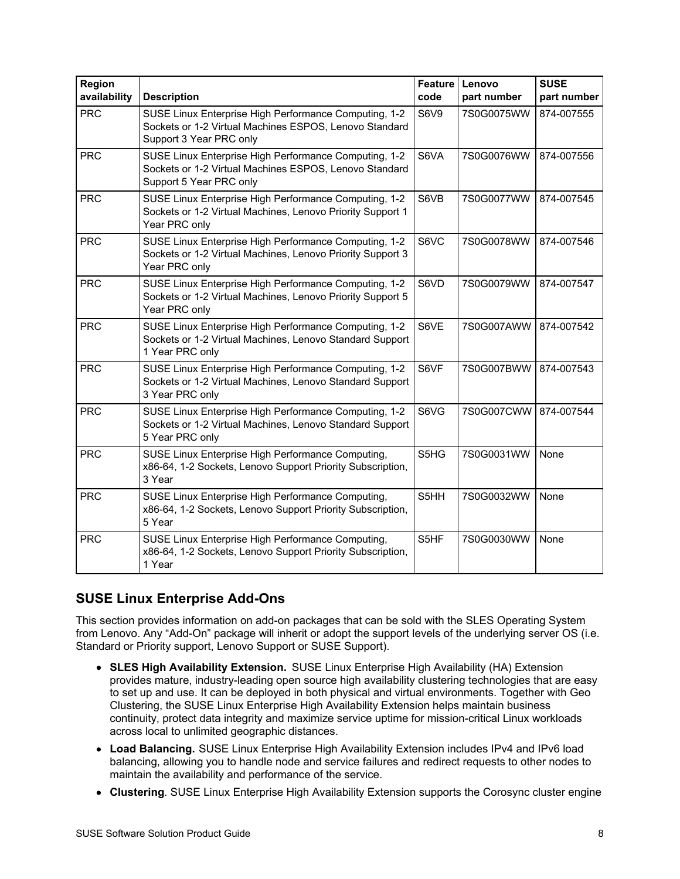<span id="page-7-0"></span>

| Region<br>availability | <b>Description</b>                                                                                                                         | <b>Feature</b><br>code | Lenovo<br>part number | <b>SUSE</b><br>part number |
|------------------------|--------------------------------------------------------------------------------------------------------------------------------------------|------------------------|-----------------------|----------------------------|
| <b>PRC</b>             | SUSE Linux Enterprise High Performance Computing, 1-2<br>Sockets or 1-2 Virtual Machines ESPOS, Lenovo Standard<br>Support 3 Year PRC only | <b>S6V9</b>            | 7S0G0075WW            | 874-007555                 |
| <b>PRC</b>             | SUSE Linux Enterprise High Performance Computing, 1-2<br>Sockets or 1-2 Virtual Machines ESPOS, Lenovo Standard<br>Support 5 Year PRC only | S6VA                   | 7S0G0076WW            | 874-007556                 |
| <b>PRC</b>             | SUSE Linux Enterprise High Performance Computing, 1-2<br>Sockets or 1-2 Virtual Machines, Lenovo Priority Support 1<br>Year PRC only       | S6VB                   | 7S0G0077WW            | 874-007545                 |
| <b>PRC</b>             | SUSE Linux Enterprise High Performance Computing, 1-2<br>Sockets or 1-2 Virtual Machines, Lenovo Priority Support 3<br>Year PRC only       | S6VC                   | 7S0G0078WW            | 874-007546                 |
| <b>PRC</b>             | SUSE Linux Enterprise High Performance Computing, 1-2<br>Sockets or 1-2 Virtual Machines, Lenovo Priority Support 5<br>Year PRC only       | S6VD                   | 7S0G0079WW            | 874-007547                 |
| <b>PRC</b>             | SUSE Linux Enterprise High Performance Computing, 1-2<br>Sockets or 1-2 Virtual Machines, Lenovo Standard Support<br>1 Year PRC only       | S6VE                   | 7S0G007AWW            | 874-007542                 |
| <b>PRC</b>             | SUSE Linux Enterprise High Performance Computing, 1-2<br>Sockets or 1-2 Virtual Machines, Lenovo Standard Support<br>3 Year PRC only       | S6VF                   | 7S0G007BWW            | 874-007543                 |
| <b>PRC</b>             | SUSE Linux Enterprise High Performance Computing, 1-2<br>Sockets or 1-2 Virtual Machines, Lenovo Standard Support<br>5 Year PRC only       | S6VG                   | 7S0G007CWW            | 874-007544                 |
| <b>PRC</b>             | SUSE Linux Enterprise High Performance Computing,<br>x86-64, 1-2 Sockets, Lenovo Support Priority Subscription,<br>3 Year                  | S5HG                   | 7S0G0031WW            | None                       |
| <b>PRC</b>             | SUSE Linux Enterprise High Performance Computing,<br>x86-64, 1-2 Sockets, Lenovo Support Priority Subscription,<br>5 Year                  | S5HH                   | 7S0G0032WW            | None                       |
| <b>PRC</b>             | SUSE Linux Enterprise High Performance Computing,<br>x86-64, 1-2 Sockets, Lenovo Support Priority Subscription,<br>1 Year                  | S5HF                   | 7S0G0030WW            | None                       |

# **SUSE Linux Enterprise Add-Ons**

This section provides information on add-on packages that can be sold with the SLES Operating System from Lenovo. Any "Add-On" package will inherit or adopt the support levels of the underlying server OS (i.e. Standard or Priority support, Lenovo Support or SUSE Support).

- **SLES High Availability Extension.** SUSE Linux Enterprise High Availability (HA) Extension provides mature, industry-leading open source high availability clustering technologies that are easy to set up and use. It can be deployed in both physical and virtual environments. Together with Geo Clustering, the SUSE Linux Enterprise High Availability Extension helps maintain business continuity, protect data integrity and maximize service uptime for mission-critical Linux workloads across local to unlimited geographic distances.
- **Load Balancing.** SUSE Linux Enterprise High Availability Extension includes IPv4 and IPv6 load balancing, allowing you to handle node and service failures and redirect requests to other nodes to maintain the availability and performance of the service.
- **Clustering**. SUSE Linux Enterprise High Availability Extension supports the Corosync cluster engine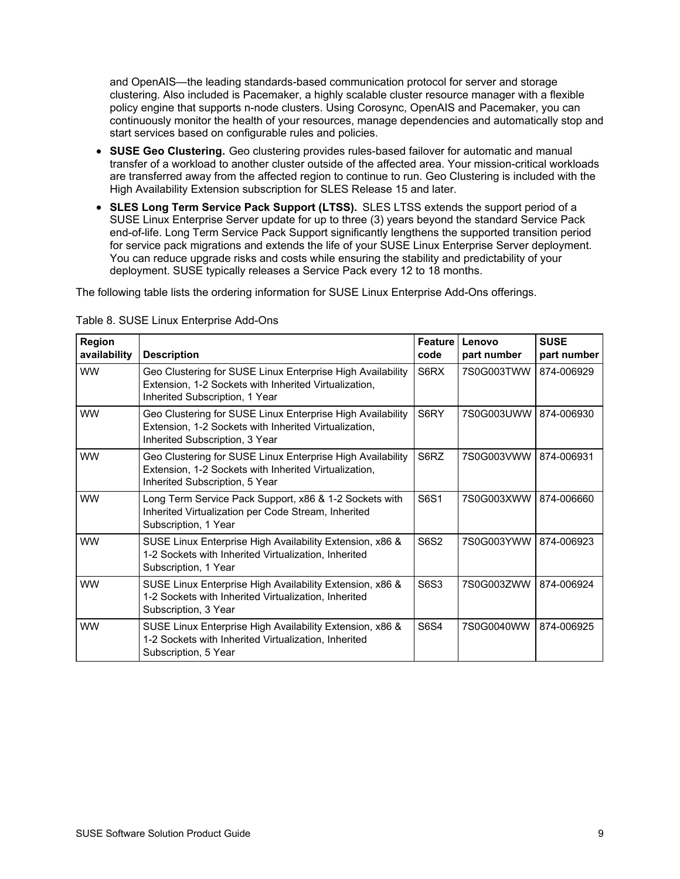and OpenAIS—the leading standards-based communication protocol for server and storage clustering. Also included is Pacemaker, a highly scalable cluster resource manager with a flexible policy engine that supports n-node clusters. Using Corosync, OpenAIS and Pacemaker, you can continuously monitor the health of your resources, manage dependencies and automatically stop and start services based on configurable rules and policies.

- **SUSE Geo Clustering.** Geo clustering provides rules-based failover for automatic and manual transfer of a workload to another cluster outside of the affected area. Your mission-critical workloads are transferred away from the affected region to continue to run. Geo Clustering is included with the High Availability Extension subscription for SLES Release 15 and later.
- **SLES Long Term Service Pack Support (LTSS).** SLES LTSS extends the support period of a SUSE Linux Enterprise Server update for up to three (3) years beyond the standard Service Pack end-of-life. Long Term Service Pack Support significantly lengthens the supported transition period for service pack migrations and extends the life of your SUSE Linux Enterprise Server deployment. You can reduce upgrade risks and costs while ensuring the stability and predictability of your deployment. SUSE typically releases a Service Pack every 12 to 18 months.

The following table lists the ordering information for SUSE Linux Enterprise Add-Ons offerings.

| <b>Region</b><br>availability | <b>Description</b>                                                                                                                                    | <b>Feature</b><br>code | Lenovo<br>part number | <b>SUSE</b><br>part number |
|-------------------------------|-------------------------------------------------------------------------------------------------------------------------------------------------------|------------------------|-----------------------|----------------------------|
| <b>WW</b>                     | Geo Clustering for SUSE Linux Enterprise High Availability<br>Extension, 1-2 Sockets with Inherited Virtualization,<br>Inherited Subscription, 1 Year | S6RX                   | 7S0G003TWW            | 874-006929                 |
| <b>WW</b>                     | Geo Clustering for SUSE Linux Enterprise High Availability<br>Extension, 1-2 Sockets with Inherited Virtualization,<br>Inherited Subscription, 3 Year | S6RY                   | 7S0G003UWW            | 874-006930                 |
| <b>WW</b>                     | Geo Clustering for SUSE Linux Enterprise High Availability<br>Extension, 1-2 Sockets with Inherited Virtualization,<br>Inherited Subscription, 5 Year | S6RZ                   | 7S0G003VWW            | 874-006931                 |
| <b>WW</b>                     | Long Term Service Pack Support, x86 & 1-2 Sockets with<br>Inherited Virtualization per Code Stream, Inherited<br>Subscription, 1 Year                 | <b>S6S1</b>            | 7S0G003XWW            | 874-006660                 |
| <b>WW</b>                     | SUSE Linux Enterprise High Availability Extension, x86 &<br>1-2 Sockets with Inherited Virtualization, Inherited<br>Subscription, 1 Year              | <b>S6S2</b>            | 7S0G003YWW            | 874-006923                 |
| <b>WW</b>                     | SUSE Linux Enterprise High Availability Extension, x86 &<br>1-2 Sockets with Inherited Virtualization, Inherited<br>Subscription, 3 Year              | <b>S6S3</b>            | 7S0G003ZWW            | 874-006924                 |
| <b>WW</b>                     | SUSE Linux Enterprise High Availability Extension, x86 &<br>1-2 Sockets with Inherited Virtualization, Inherited<br>Subscription, 5 Year              | <b>S6S4</b>            | 7S0G0040WW            | 874-006925                 |

Table 8. SUSE Linux Enterprise Add-Ons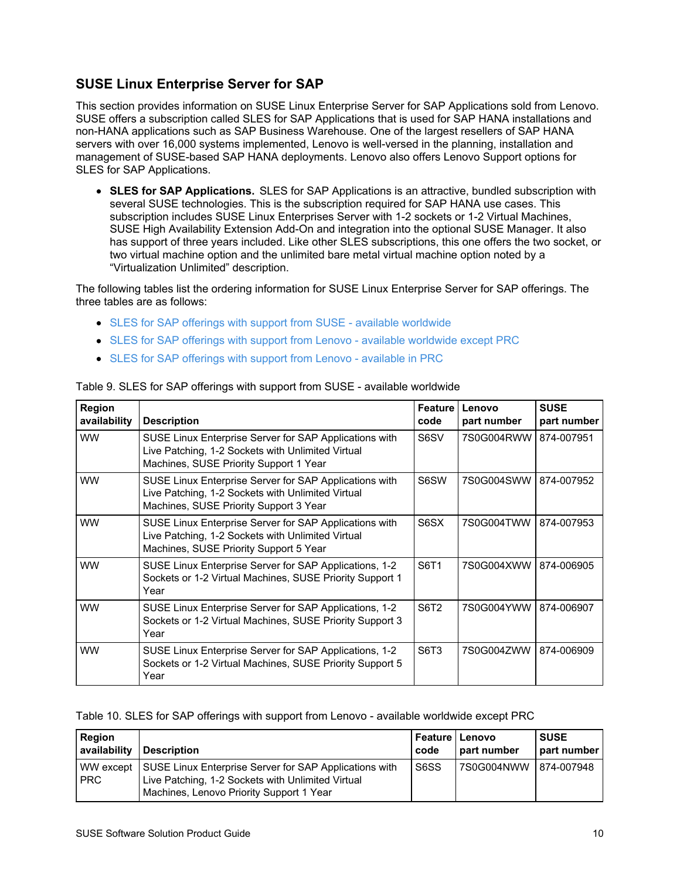## **SUSE Linux Enterprise Server for SAP**

This section provides information on SUSE Linux Enterprise Server for SAP Applications sold from Lenovo. SUSE offers a subscription called SLES for SAP Applications that is used for SAP HANA installations and non-HANA applications such as SAP Business Warehouse. One of the largest resellers of SAP HANA servers with over 16,000 systems implemented, Lenovo is well-versed in the planning, installation and management of SUSE-based SAP HANA deployments. Lenovo also offers Lenovo Support options for SLES for SAP Applications.

**SLES for SAP Applications.** SLES for SAP Applications is an attractive, bundled subscription with several SUSE technologies. This is the subscription required for SAP HANA use cases. This subscription includes SUSE Linux Enterprises Server with 1-2 sockets or 1-2 Virtual Machines, SUSE High Availability Extension Add-On and integration into the optional SUSE Manager. It also has support of three years included. Like other SLES subscriptions, this one offers the two socket, or two virtual machine option and the unlimited bare metal virtual machine option noted by a "Virtualization Unlimited" description.

The following tables list the ordering information for SUSE Linux Enterprise Server for SAP offerings. The three tables are as follows:

- SLES for SAP offerings with support from SUSE available [worldwide](#page-9-0)
- SLES for SAP offerings with support from Lenovo available [worldwide](#page-10-0) except PRC
- SLES for SAP offerings with support from Lenovo [available](#page-10-1) in PRC

| <b>Region</b><br>availability | <b>Description</b>                                                                                                                                    | <b>Feature</b><br>code | Lenovo<br>part number | <b>SUSE</b><br>part number |
|-------------------------------|-------------------------------------------------------------------------------------------------------------------------------------------------------|------------------------|-----------------------|----------------------------|
| <b>WW</b>                     | SUSE Linux Enterprise Server for SAP Applications with<br>Live Patching, 1-2 Sockets with Unlimited Virtual<br>Machines, SUSE Priority Support 1 Year | S6SV                   | 7S0G004RWW            | 874-007951                 |
| <b>WW</b>                     | SUSE Linux Enterprise Server for SAP Applications with<br>Live Patching, 1-2 Sockets with Unlimited Virtual<br>Machines, SUSE Priority Support 3 Year | S6SW                   | 7S0G004SWW            | 874-007952                 |
| <b>WW</b>                     | SUSE Linux Enterprise Server for SAP Applications with<br>Live Patching, 1-2 Sockets with Unlimited Virtual<br>Machines, SUSE Priority Support 5 Year | S6SX                   | 7S0G004TWW            | 874-007953                 |
| <b>WW</b>                     | SUSE Linux Enterprise Server for SAP Applications, 1-2<br>Sockets or 1-2 Virtual Machines, SUSE Priority Support 1<br>Year                            | S6T1                   | 7S0G004XWW            | 874-006905                 |
| <b>WW</b>                     | SUSE Linux Enterprise Server for SAP Applications, 1-2<br>Sockets or 1-2 Virtual Machines, SUSE Priority Support 3<br>Year                            | S6T2                   | 7S0G004YWW            | 874-006907                 |
| <b>WW</b>                     | SUSE Linux Enterprise Server for SAP Applications, 1-2<br>Sockets or 1-2 Virtual Machines, SUSE Priority Support 5<br>Year                            | S6T <sub>3</sub>       | 7S0G004ZWW            | 874-006909                 |

#### <span id="page-9-0"></span>Table 9. SLES for SAP offerings with support from SUSE - available worldwide

Table 10. SLES for SAP offerings with support from Lenovo - available worldwide except PRC

| Region<br>availability | <b>Description</b>                                               | Feature   Lenovo<br>code | part number           | <b>SUSE</b><br>part number |
|------------------------|------------------------------------------------------------------|--------------------------|-----------------------|----------------------------|
|                        | WW except SUSE Linux Enterprise Server for SAP Applications with | S6SS                     | 7S0G004NWW 874-007948 |                            |
| <b>PRC</b>             | Live Patching, 1-2 Sockets with Unlimited Virtual                |                          |                       |                            |
|                        | Machines, Lenovo Priority Support 1 Year                         |                          |                       |                            |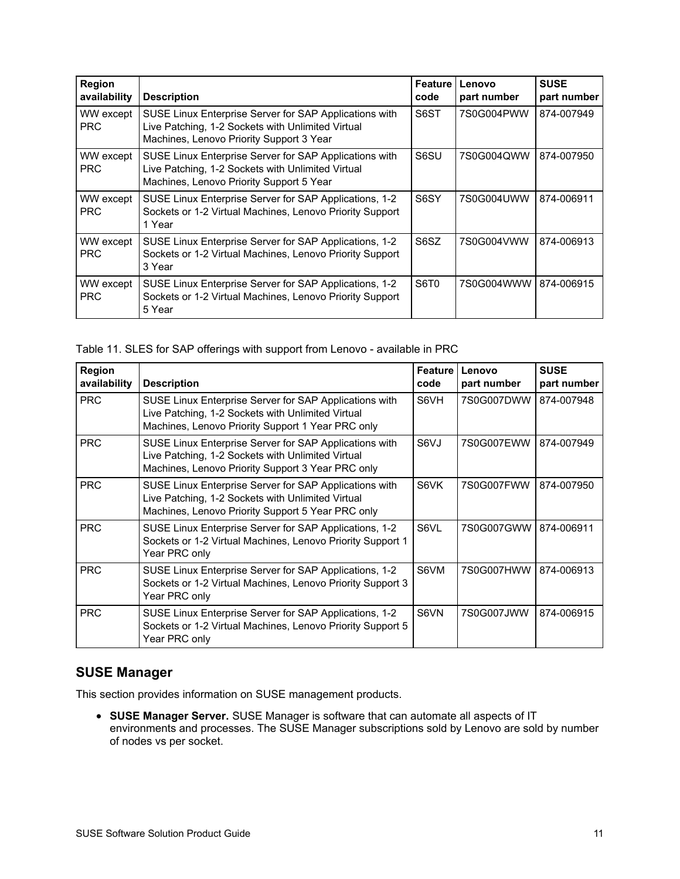<span id="page-10-0"></span>

| Region<br>availability  | <b>Description</b>                                                                                                                                      | <b>Feature</b><br>code | Lenovo<br>part number | <b>SUSE</b><br>part number |
|-------------------------|---------------------------------------------------------------------------------------------------------------------------------------------------------|------------------------|-----------------------|----------------------------|
| WW except<br><b>PRC</b> | SUSE Linux Enterprise Server for SAP Applications with<br>Live Patching, 1-2 Sockets with Unlimited Virtual<br>Machines, Lenovo Priority Support 3 Year | S6ST                   | 7S0G004PWW            | 874-007949                 |
| WW except<br><b>PRC</b> | SUSE Linux Enterprise Server for SAP Applications with<br>Live Patching, 1-2 Sockets with Unlimited Virtual<br>Machines, Lenovo Priority Support 5 Year | S6SU                   | 7S0G004QWW            | 874-007950                 |
| WW except<br><b>PRC</b> | SUSE Linux Enterprise Server for SAP Applications, 1-2<br>Sockets or 1-2 Virtual Machines, Lenovo Priority Support<br>1 Year                            | S6SY                   | 7S0G004UWW            | 874-006911                 |
| WW except<br><b>PRC</b> | SUSE Linux Enterprise Server for SAP Applications, 1-2<br>Sockets or 1-2 Virtual Machines, Lenovo Priority Support<br>3 Year                            | S6SZ                   | 7S0G004VWW            | 874-006913                 |
| WW except<br><b>PRC</b> | SUSE Linux Enterprise Server for SAP Applications, 1-2<br>Sockets or 1-2 Virtual Machines, Lenovo Priority Support<br>5 Year                            | S6T <sub>0</sub>       | 7S0G004WWW            | 874-006915                 |

<span id="page-10-1"></span>Table 11. SLES for SAP offerings with support from Lenovo - available in PRC

| <b>Region</b><br>availability | <b>Description</b>                                                                                                                                               | <b>Feature</b><br>code | Lenovo<br>part number | <b>SUSE</b><br>part number |
|-------------------------------|------------------------------------------------------------------------------------------------------------------------------------------------------------------|------------------------|-----------------------|----------------------------|
| <b>PRC</b>                    | SUSE Linux Enterprise Server for SAP Applications with<br>Live Patching, 1-2 Sockets with Unlimited Virtual<br>Machines, Lenovo Priority Support 1 Year PRC only | S6VH                   | 7S0G007DWW            | 874-007948                 |
| <b>PRC</b>                    | SUSE Linux Enterprise Server for SAP Applications with<br>Live Patching, 1-2 Sockets with Unlimited Virtual<br>Machines, Lenovo Priority Support 3 Year PRC only | S6VJ                   | 7S0G007EWW            | 874-007949                 |
| <b>PRC</b>                    | SUSE Linux Enterprise Server for SAP Applications with<br>Live Patching, 1-2 Sockets with Unlimited Virtual<br>Machines, Lenovo Priority Support 5 Year PRC only | S6VK                   | 7S0G007FWW            | 874-007950                 |
| <b>PRC</b>                    | SUSE Linux Enterprise Server for SAP Applications, 1-2<br>Sockets or 1-2 Virtual Machines, Lenovo Priority Support 1<br>Year PRC only                            | S6VL                   | 7S0G007GWW            | 874-006911                 |
| <b>PRC</b>                    | SUSE Linux Enterprise Server for SAP Applications, 1-2<br>Sockets or 1-2 Virtual Machines, Lenovo Priority Support 3<br>Year PRC only                            | S6VM                   | 7S0G007HWW            | 874-006913                 |
| <b>PRC</b>                    | SUSE Linux Enterprise Server for SAP Applications, 1-2<br>Sockets or 1-2 Virtual Machines, Lenovo Priority Support 5<br>Year PRC only                            | S6VN                   | 7S0G007JWW            | 874-006915                 |

# **SUSE Manager**

This section provides information on SUSE management products.

**SUSE Manager Server.** SUSE Manager is software that can automate all aspects of IT environments and processes. The SUSE Manager subscriptions sold by Lenovo are sold by number of nodes vs per socket.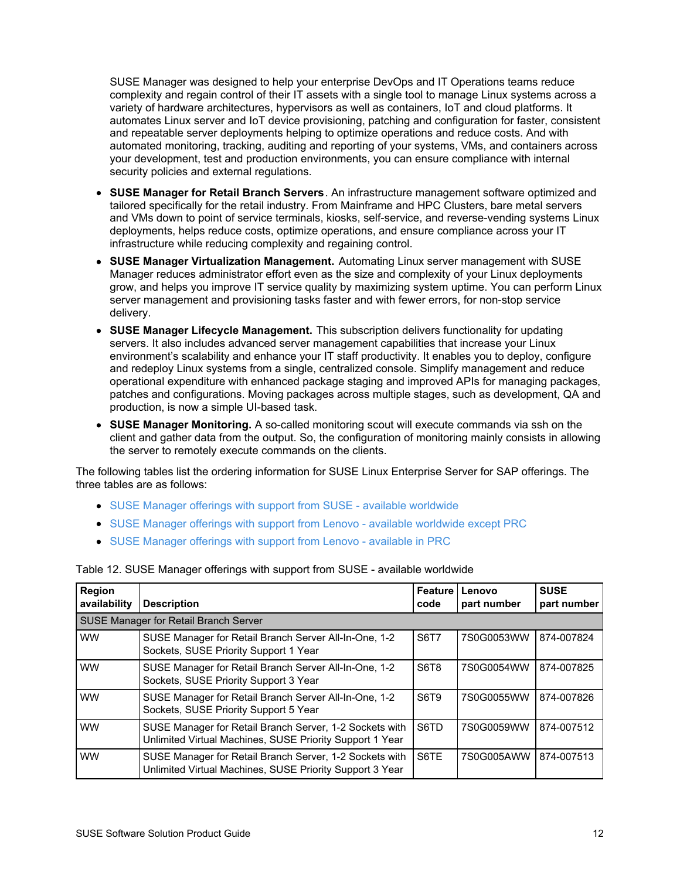SUSE Manager was designed to help your enterprise DevOps and IT Operations teams reduce complexity and regain control of their IT assets with a single tool to manage Linux systems across a variety of hardware architectures, hypervisors as well as containers, IoT and cloud platforms. It automates Linux server and IoT device provisioning, patching and configuration for faster, consistent and repeatable server deployments helping to optimize operations and reduce costs. And with automated monitoring, tracking, auditing and reporting of your systems, VMs, and containers across your development, test and production environments, you can ensure compliance with internal security policies and external regulations.

- **SUSE Manager for Retail Branch Servers**. An infrastructure management software optimized and tailored specifically for the retail industry. From Mainframe and HPC Clusters, bare metal servers and VMs down to point of service terminals, kiosks, self-service, and reverse-vending systems Linux deployments, helps reduce costs, optimize operations, and ensure compliance across your IT infrastructure while reducing complexity and regaining control.
- **SUSE Manager Virtualization Management.** Automating Linux server management with SUSE Manager reduces administrator effort even as the size and complexity of your Linux deployments grow, and helps you improve IT service quality by maximizing system uptime. You can perform Linux server management and provisioning tasks faster and with fewer errors, for non-stop service delivery.
- **SUSE Manager Lifecycle Management.** This subscription delivers functionality for updating servers. It also includes advanced server management capabilities that increase your Linux environment's scalability and enhance your IT staff productivity. It enables you to deploy, configure and redeploy Linux systems from a single, centralized console. Simplify management and reduce operational expenditure with enhanced package staging and improved APIs for managing packages, patches and configurations. Moving packages across multiple stages, such as development, QA and production, is now a simple UI-based task.
- **SUSE Manager Monitoring.** A so-called monitoring scout will execute commands via ssh on the client and gather data from the output. So, the configuration of monitoring mainly consists in allowing the server to remotely execute commands on the clients.

The following tables list the ordering information for SUSE Linux Enterprise Server for SAP offerings. The three tables are as follows:

- SUSE Manager offerings with support from SUSE available [worldwide](#page-12-0)
- SUSE Manager offerings with support from Lenovo available [worldwide](#page-13-0) except PRC
- SUSE [Manager](#page-15-0) offerings with support from Lenovo available in PRC

| <b>Region</b><br>availability | <b>Description</b>                                                                                                  | <b>Feature</b><br>code | Lenovo<br>part number | <b>SUSE</b><br>part number |
|-------------------------------|---------------------------------------------------------------------------------------------------------------------|------------------------|-----------------------|----------------------------|
|                               | <b>SUSE Manager for Retail Branch Server</b>                                                                        |                        |                       |                            |
| <b>WW</b>                     | SUSE Manager for Retail Branch Server All-In-One, 1-2<br>Sockets, SUSE Priority Support 1 Year                      | <b>S6T7</b>            | 7S0G0053WW            | 874-007824                 |
| <b>WW</b>                     | SUSE Manager for Retail Branch Server All-In-One, 1-2<br>Sockets, SUSE Priority Support 3 Year                      | S6T8                   | 7S0G0054WW            | 874-007825                 |
| <b>WW</b>                     | SUSE Manager for Retail Branch Server All-In-One, 1-2<br>Sockets, SUSE Priority Support 5 Year                      | S6T9                   | 7S0G0055WW            | 874-007826                 |
| <b>WW</b>                     | SUSE Manager for Retail Branch Server, 1-2 Sockets with<br>Unlimited Virtual Machines, SUSE Priority Support 1 Year | S6TD                   | 7S0G0059WW            | 874-007512                 |
| <b>WW</b>                     | SUSE Manager for Retail Branch Server, 1-2 Sockets with<br>Unlimited Virtual Machines, SUSE Priority Support 3 Year | S6TE                   | 7S0G005AWW            | 874-007513                 |

Table 12. SUSE Manager offerings with support from SUSE - available worldwide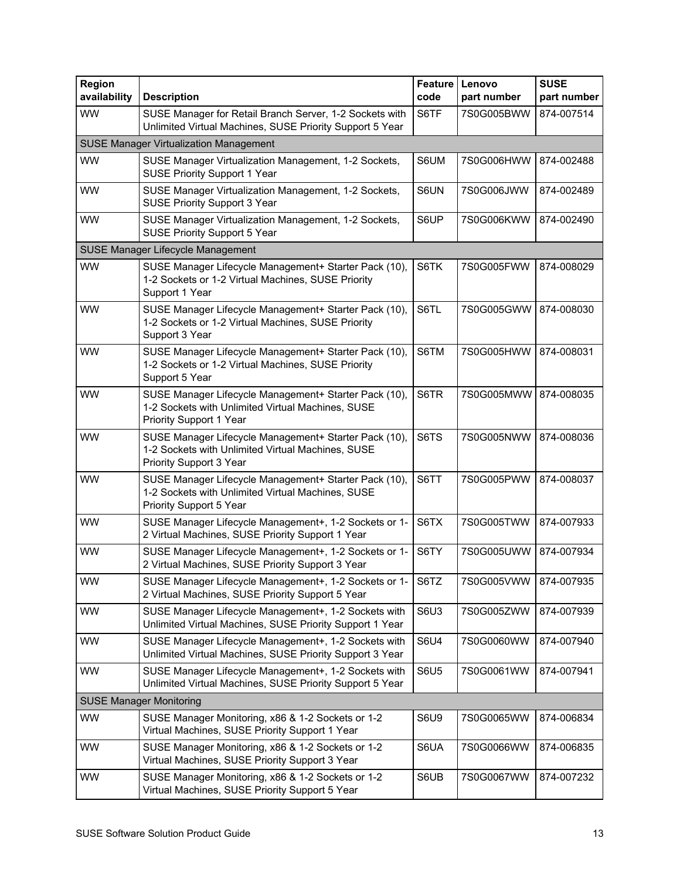<span id="page-12-0"></span>

| Region<br>availability | <b>Description</b>                                                                                                                           | Feature<br>code | Lenovo<br>part number | <b>SUSE</b><br>part number |
|------------------------|----------------------------------------------------------------------------------------------------------------------------------------------|-----------------|-----------------------|----------------------------|
| <b>WW</b>              | SUSE Manager for Retail Branch Server, 1-2 Sockets with<br>Unlimited Virtual Machines, SUSE Priority Support 5 Year                          | S6TF            | 7S0G005BWW            | 874-007514                 |
|                        | <b>SUSE Manager Virtualization Management</b>                                                                                                |                 |                       |                            |
| <b>WW</b>              | SUSE Manager Virtualization Management, 1-2 Sockets,<br><b>SUSE Priority Support 1 Year</b>                                                  | S6UM            | 7S0G006HWW            | 874-002488                 |
| <b>WW</b>              | SUSE Manager Virtualization Management, 1-2 Sockets,<br><b>SUSE Priority Support 3 Year</b>                                                  | S6UN            | 7S0G006JWW            | 874-002489                 |
| <b>WW</b>              | SUSE Manager Virtualization Management, 1-2 Sockets,<br><b>SUSE Priority Support 5 Year</b>                                                  | S6UP            | 7S0G006KWW            | 874-002490                 |
|                        | SUSE Manager Lifecycle Management                                                                                                            |                 |                       |                            |
| <b>WW</b>              | SUSE Manager Lifecycle Management+ Starter Pack (10),<br>1-2 Sockets or 1-2 Virtual Machines, SUSE Priority<br>Support 1 Year                | S6TK            | 7S0G005FWW            | 874-008029                 |
| <b>WW</b>              | SUSE Manager Lifecycle Management+ Starter Pack (10),<br>1-2 Sockets or 1-2 Virtual Machines, SUSE Priority<br>Support 3 Year                | S6TL            | 7S0G005GWW            | 874-008030                 |
| <b>WW</b>              | SUSE Manager Lifecycle Management+ Starter Pack (10),<br>1-2 Sockets or 1-2 Virtual Machines, SUSE Priority<br>Support 5 Year                | S6TM            | 7S0G005HWW            | 874-008031                 |
| <b>WW</b>              | SUSE Manager Lifecycle Management+ Starter Pack (10),<br>1-2 Sockets with Unlimited Virtual Machines, SUSE<br><b>Priority Support 1 Year</b> | S6TR            | 7S0G005MWW            | 874-008035                 |
| <b>WW</b>              | SUSE Manager Lifecycle Management+ Starter Pack (10),<br>1-2 Sockets with Unlimited Virtual Machines, SUSE<br>Priority Support 3 Year        | S6TS            | 7S0G005NWW            | 874-008036                 |
| <b>WW</b>              | SUSE Manager Lifecycle Management+ Starter Pack (10),<br>1-2 Sockets with Unlimited Virtual Machines, SUSE<br>Priority Support 5 Year        | S6TT            | 7S0G005PWW            | 874-008037                 |
| <b>WW</b>              | SUSE Manager Lifecycle Management+, 1-2 Sockets or 1-<br>2 Virtual Machines, SUSE Priority Support 1 Year                                    | S6TX            | 7S0G005TWW            | 874-007933                 |
| <b>WW</b>              | SUSE Manager Lifecycle Management+, 1-2 Sockets or 1-<br>2 Virtual Machines, SUSE Priority Support 3 Year                                    | S6TY            | 7S0G005UWW            | 874-007934                 |
| <b>WW</b>              | SUSE Manager Lifecycle Management+, 1-2 Sockets or 1-<br>2 Virtual Machines, SUSE Priority Support 5 Year                                    | S6TZ            | 7S0G005VWW            | 874-007935                 |
| <b>WW</b>              | SUSE Manager Lifecycle Management+, 1-2 Sockets with<br>Unlimited Virtual Machines, SUSE Priority Support 1 Year                             | S6U3            | 7S0G005ZWW            | 874-007939                 |
| <b>WW</b>              | SUSE Manager Lifecycle Management+, 1-2 Sockets with<br>Unlimited Virtual Machines, SUSE Priority Support 3 Year                             | <b>S6U4</b>     | 7S0G0060WW            | 874-007940                 |
| <b>WW</b>              | SUSE Manager Lifecycle Management+, 1-2 Sockets with<br>Unlimited Virtual Machines, SUSE Priority Support 5 Year                             | <b>S6U5</b>     | 7S0G0061WW            | 874-007941                 |
|                        | <b>SUSE Manager Monitoring</b>                                                                                                               |                 |                       |                            |
| <b>WW</b>              | SUSE Manager Monitoring, x86 & 1-2 Sockets or 1-2<br>Virtual Machines, SUSE Priority Support 1 Year                                          | S6U9            | 7S0G0065WW            | 874-006834                 |
| <b>WW</b>              | SUSE Manager Monitoring, x86 & 1-2 Sockets or 1-2<br>Virtual Machines, SUSE Priority Support 3 Year                                          | S6UA            | 7S0G0066WW            | 874-006835                 |
| <b>WW</b>              | SUSE Manager Monitoring, x86 & 1-2 Sockets or 1-2<br>Virtual Machines, SUSE Priority Support 5 Year                                          | S6UB            | 7S0G0067WW            | 874-007232                 |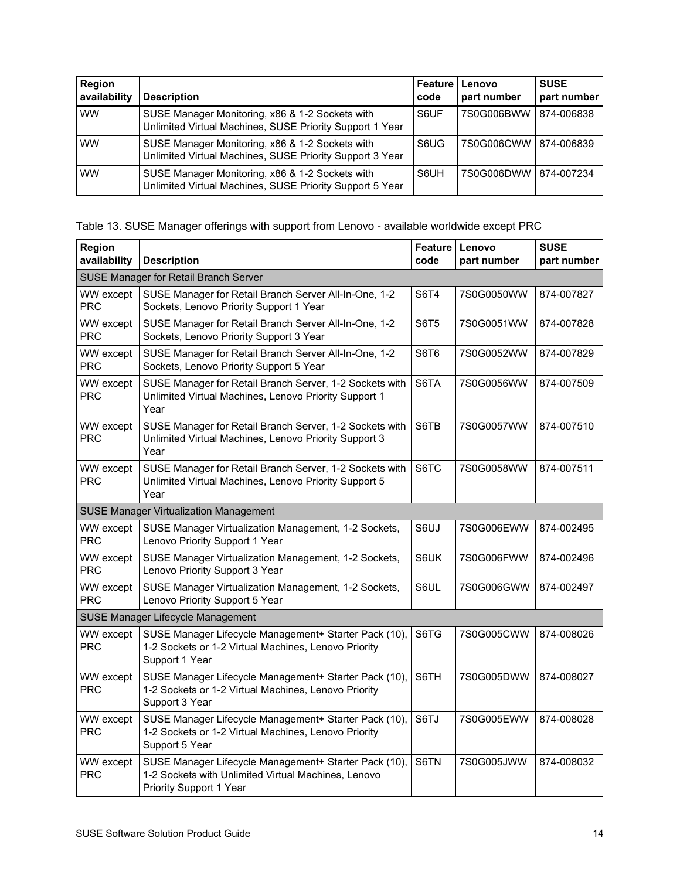| <b>Region</b><br>availability | <b>Description</b>                                                                                          | <b>Feature</b><br>code | Lenovo<br>part number | <b>SUSE</b><br>part number |
|-------------------------------|-------------------------------------------------------------------------------------------------------------|------------------------|-----------------------|----------------------------|
| <b>WW</b>                     | SUSE Manager Monitoring, x86 & 1-2 Sockets with<br>Unlimited Virtual Machines, SUSE Priority Support 1 Year | S6UF                   | 7S0G006BWW            | 874-006838                 |
| <b>WW</b>                     | SUSE Manager Monitoring, x86 & 1-2 Sockets with<br>Unlimited Virtual Machines, SUSE Priority Support 3 Year | S6UG                   | 7S0G006CWW            | 874-006839                 |
| <b>WW</b>                     | SUSE Manager Monitoring, x86 & 1-2 Sockets with<br>Unlimited Virtual Machines, SUSE Priority Support 5 Year | S6UH                   | 7S0G006DWW            | 874-007234                 |

<span id="page-13-0"></span>Table 13. SUSE Manager offerings with support from Lenovo - available worldwide except PRC

| Region<br>availability  | <b>Description</b>                                                                                                                      | <b>Feature</b><br>code | Lenovo<br>part number | <b>SUSE</b><br>part number |
|-------------------------|-----------------------------------------------------------------------------------------------------------------------------------------|------------------------|-----------------------|----------------------------|
|                         | SUSE Manager for Retail Branch Server                                                                                                   |                        |                       |                            |
| WW except<br><b>PRC</b> | SUSE Manager for Retail Branch Server All-In-One, 1-2<br>Sockets, Lenovo Priority Support 1 Year                                        | S6T4                   | 7S0G0050WW            | 874-007827                 |
| WW except<br><b>PRC</b> | SUSE Manager for Retail Branch Server All-In-One, 1-2<br>Sockets, Lenovo Priority Support 3 Year                                        | <b>S6T5</b>            | 7S0G0051WW            | 874-007828                 |
| WW except<br><b>PRC</b> | SUSE Manager for Retail Branch Server All-In-One, 1-2<br>Sockets, Lenovo Priority Support 5 Year                                        | S6T6                   | 7S0G0052WW            | 874-007829                 |
| WW except<br><b>PRC</b> | SUSE Manager for Retail Branch Server, 1-2 Sockets with<br>Unlimited Virtual Machines, Lenovo Priority Support 1<br>Year                | S6TA                   | 7S0G0056WW            | 874-007509                 |
| WW except<br><b>PRC</b> | SUSE Manager for Retail Branch Server, 1-2 Sockets with<br>Unlimited Virtual Machines, Lenovo Priority Support 3<br>Year                | S6TB                   | 7S0G0057WW            | 874-007510                 |
| WW except<br><b>PRC</b> | SUSE Manager for Retail Branch Server, 1-2 Sockets with<br>Unlimited Virtual Machines, Lenovo Priority Support 5<br>Year                | S6TC                   | 7S0G0058WW            | 874-007511                 |
|                         | <b>SUSE Manager Virtualization Management</b>                                                                                           |                        |                       |                            |
| WW except<br><b>PRC</b> | SUSE Manager Virtualization Management, 1-2 Sockets,<br>Lenovo Priority Support 1 Year                                                  | S6UJ                   | 7S0G006EWW            | 874-002495                 |
| WW except<br><b>PRC</b> | SUSE Manager Virtualization Management, 1-2 Sockets,<br>Lenovo Priority Support 3 Year                                                  | S6UK                   | 7S0G006FWW            | 874-002496                 |
| WW except<br><b>PRC</b> | SUSE Manager Virtualization Management, 1-2 Sockets,<br>Lenovo Priority Support 5 Year                                                  | S6UL                   | 7S0G006GWW            | 874-002497                 |
|                         | SUSE Manager Lifecycle Management                                                                                                       |                        |                       |                            |
| WW except<br><b>PRC</b> | SUSE Manager Lifecycle Management+ Starter Pack (10),<br>1-2 Sockets or 1-2 Virtual Machines, Lenovo Priority<br>Support 1 Year         | S6TG                   | 7S0G005CWW            | 874-008026                 |
| WW except<br><b>PRC</b> | SUSE Manager Lifecycle Management+ Starter Pack (10),<br>1-2 Sockets or 1-2 Virtual Machines, Lenovo Priority<br>Support 3 Year         | S6TH                   | 7S0G005DWW            | 874-008027                 |
| WW except<br><b>PRC</b> | SUSE Manager Lifecycle Management+ Starter Pack (10),<br>1-2 Sockets or 1-2 Virtual Machines, Lenovo Priority<br>Support 5 Year         | S6TJ                   | 7S0G005EWW            | 874-008028                 |
| WW except<br><b>PRC</b> | SUSE Manager Lifecycle Management+ Starter Pack (10),<br>1-2 Sockets with Unlimited Virtual Machines, Lenovo<br>Priority Support 1 Year | S6TN                   | 7S0G005JWW            | 874-008032                 |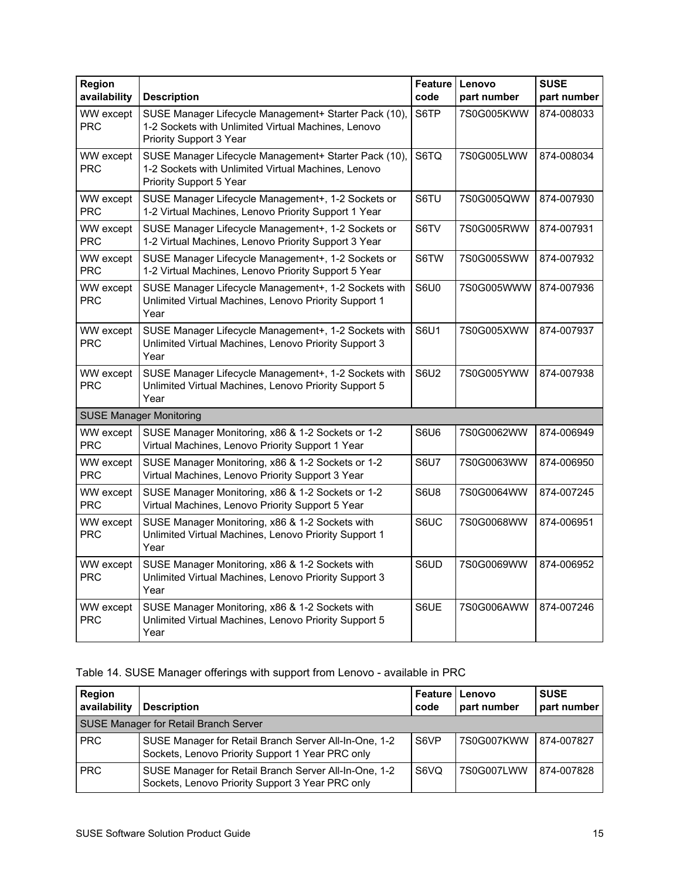| Region<br>availability  | <b>Description</b>                                                                                                                      | <b>Feature</b><br>code | Lenovo<br>part number | <b>SUSE</b><br>part number |
|-------------------------|-----------------------------------------------------------------------------------------------------------------------------------------|------------------------|-----------------------|----------------------------|
| WW except<br><b>PRC</b> | SUSE Manager Lifecycle Management+ Starter Pack (10),<br>1-2 Sockets with Unlimited Virtual Machines, Lenovo<br>Priority Support 3 Year | S6TP                   | 7S0G005KWW            | 874-008033                 |
| WW except<br><b>PRC</b> | SUSE Manager Lifecycle Management+ Starter Pack (10),<br>1-2 Sockets with Unlimited Virtual Machines, Lenovo<br>Priority Support 5 Year | S6TQ                   | 7S0G005LWW            | 874-008034                 |
| WW except<br><b>PRC</b> | SUSE Manager Lifecycle Management+, 1-2 Sockets or<br>1-2 Virtual Machines, Lenovo Priority Support 1 Year                              | S6TU                   | 7S0G005QWW            | 874-007930                 |
| WW except<br><b>PRC</b> | SUSE Manager Lifecycle Management+, 1-2 Sockets or<br>1-2 Virtual Machines, Lenovo Priority Support 3 Year                              | S6TV                   | 7S0G005RWW            | 874-007931                 |
| WW except<br><b>PRC</b> | SUSE Manager Lifecycle Management+, 1-2 Sockets or<br>1-2 Virtual Machines, Lenovo Priority Support 5 Year                              | S6TW                   | 7S0G005SWW            | 874-007932                 |
| WW except<br><b>PRC</b> | SUSE Manager Lifecycle Management+, 1-2 Sockets with<br>Unlimited Virtual Machines, Lenovo Priority Support 1<br>Year                   | <b>S6U0</b>            | 7S0G005WWW            | 874-007936                 |
| WW except<br><b>PRC</b> | SUSE Manager Lifecycle Management+, 1-2 Sockets with<br>Unlimited Virtual Machines, Lenovo Priority Support 3<br>Year                   | <b>S6U1</b>            | 7S0G005XWW            | 874-007937                 |
| WW except<br><b>PRC</b> | SUSE Manager Lifecycle Management+, 1-2 Sockets with<br>Unlimited Virtual Machines, Lenovo Priority Support 5<br>Year                   | <b>S6U2</b>            | 7S0G005YWW            | 874-007938                 |
|                         | <b>SUSE Manager Monitoring</b>                                                                                                          |                        |                       |                            |
| WW except<br><b>PRC</b> | SUSE Manager Monitoring, x86 & 1-2 Sockets or 1-2<br>Virtual Machines, Lenovo Priority Support 1 Year                                   | <b>S6U6</b>            | 7S0G0062WW            | 874-006949                 |
| WW except<br><b>PRC</b> | SUSE Manager Monitoring, x86 & 1-2 Sockets or 1-2<br>Virtual Machines, Lenovo Priority Support 3 Year                                   | <b>S6U7</b>            | 7S0G0063WW            | 874-006950                 |
| WW except<br><b>PRC</b> | SUSE Manager Monitoring, x86 & 1-2 Sockets or 1-2<br>Virtual Machines, Lenovo Priority Support 5 Year                                   | S6U8                   | 7S0G0064WW            | 874-007245                 |
| WW except<br><b>PRC</b> | SUSE Manager Monitoring, x86 & 1-2 Sockets with<br>Unlimited Virtual Machines, Lenovo Priority Support 1<br>Year                        | S6UC                   | 7S0G0068WW            | 874-006951                 |
| WW except<br><b>PRC</b> | SUSE Manager Monitoring, x86 & 1-2 Sockets with<br>Unlimited Virtual Machines, Lenovo Priority Support 3<br>Year                        | S6UD                   | 7S0G0069WW            | 874-006952                 |
| WW except<br><b>PRC</b> | SUSE Manager Monitoring, x86 & 1-2 Sockets with<br>Unlimited Virtual Machines, Lenovo Priority Support 5<br>Year                        | S6UE                   | 7S0G006AWW            | 874-007246                 |

### Table 14. SUSE Manager offerings with support from Lenovo - available in PRC

| Region<br>availability                       | <b>Description</b>                                                                                        | code | <b>Feature   Lenovo</b><br>part number | <b>SUSE</b><br>part number |
|----------------------------------------------|-----------------------------------------------------------------------------------------------------------|------|----------------------------------------|----------------------------|
| <b>SUSE Manager for Retail Branch Server</b> |                                                                                                           |      |                                        |                            |
| <b>PRC</b>                                   | SUSE Manager for Retail Branch Server All-In-One, 1-2<br>Sockets, Lenovo Priority Support 1 Year PRC only | S6VP | 7S0G007KWW                             | 874-007827                 |
| <b>PRC</b>                                   | SUSE Manager for Retail Branch Server All-In-One, 1-2<br>Sockets, Lenovo Priority Support 3 Year PRC only | S6VQ | 7S0G007LWW                             | 874-007828                 |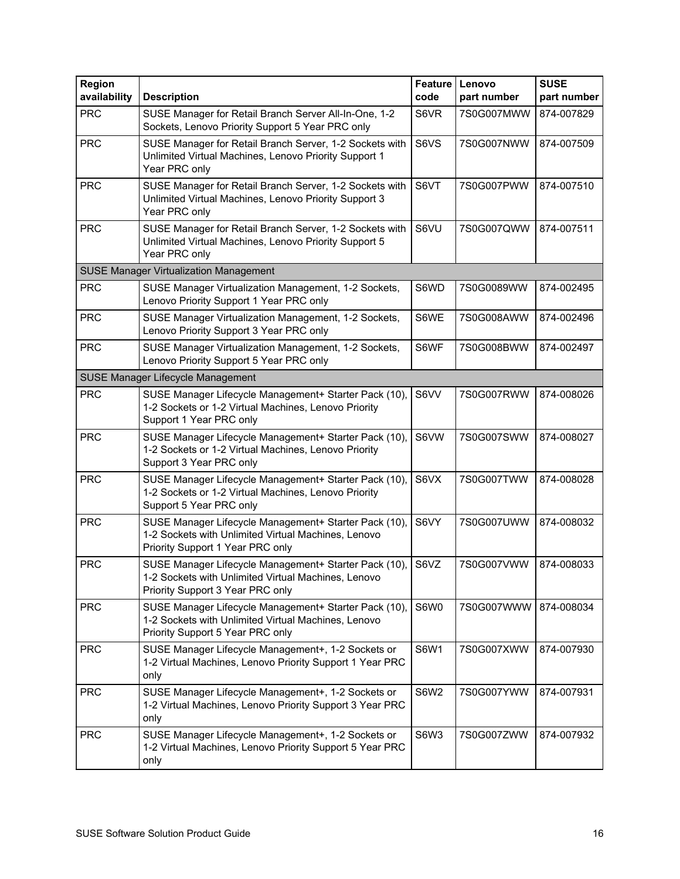<span id="page-15-0"></span>

| <b>Region</b><br>availability | <b>Description</b>                                                                                                                               | <b>Feature</b><br>code | Lenovo<br>part number | <b>SUSE</b><br>part number |
|-------------------------------|--------------------------------------------------------------------------------------------------------------------------------------------------|------------------------|-----------------------|----------------------------|
| <b>PRC</b>                    | SUSE Manager for Retail Branch Server All-In-One, 1-2<br>Sockets, Lenovo Priority Support 5 Year PRC only                                        | S6VR                   | 7S0G007MWW            | 874-007829                 |
| <b>PRC</b>                    | SUSE Manager for Retail Branch Server, 1-2 Sockets with<br>Unlimited Virtual Machines, Lenovo Priority Support 1<br>Year PRC only                | S6VS                   | 7S0G007NWW            | 874-007509                 |
| <b>PRC</b>                    | SUSE Manager for Retail Branch Server, 1-2 Sockets with<br>Unlimited Virtual Machines, Lenovo Priority Support 3<br>Year PRC only                | S6VT                   | 7S0G007PWW            | 874-007510                 |
| <b>PRC</b>                    | SUSE Manager for Retail Branch Server, 1-2 Sockets with<br>Unlimited Virtual Machines, Lenovo Priority Support 5<br>Year PRC only                | S6VU                   | 7S0G007QWW            | 874-007511                 |
|                               | <b>SUSE Manager Virtualization Management</b>                                                                                                    |                        |                       |                            |
| <b>PRC</b>                    | SUSE Manager Virtualization Management, 1-2 Sockets,<br>Lenovo Priority Support 1 Year PRC only                                                  | S6WD                   | 7S0G0089WW            | 874-002495                 |
| <b>PRC</b>                    | SUSE Manager Virtualization Management, 1-2 Sockets,<br>Lenovo Priority Support 3 Year PRC only                                                  | S6WE                   | 7S0G008AWW            | 874-002496                 |
| <b>PRC</b>                    | SUSE Manager Virtualization Management, 1-2 Sockets,<br>Lenovo Priority Support 5 Year PRC only                                                  | S6WF                   | 7S0G008BWW            | 874-002497                 |
|                               | SUSE Manager Lifecycle Management                                                                                                                |                        |                       |                            |
| <b>PRC</b>                    | SUSE Manager Lifecycle Management+ Starter Pack (10),<br>1-2 Sockets or 1-2 Virtual Machines, Lenovo Priority<br>Support 1 Year PRC only         | S6VV                   | 7S0G007RWW            | 874-008026                 |
| <b>PRC</b>                    | SUSE Manager Lifecycle Management+ Starter Pack (10),<br>1-2 Sockets or 1-2 Virtual Machines, Lenovo Priority<br>Support 3 Year PRC only         | S6VW                   | 7S0G007SWW            | 874-008027                 |
| <b>PRC</b>                    | SUSE Manager Lifecycle Management+ Starter Pack (10),<br>1-2 Sockets or 1-2 Virtual Machines, Lenovo Priority<br>Support 5 Year PRC only         | S6VX                   | 7S0G007TWW            | 874-008028                 |
| <b>PRC</b>                    | SUSE Manager Lifecycle Management+ Starter Pack (10),<br>1-2 Sockets with Unlimited Virtual Machines, Lenovo<br>Priority Support 1 Year PRC only | S6VY                   | 7S0G007UWW            | 874-008032                 |
| <b>PRC</b>                    | SUSE Manager Lifecycle Management+ Starter Pack (10),<br>1-2 Sockets with Unlimited Virtual Machines, Lenovo<br>Priority Support 3 Year PRC only | S6VZ                   | 7S0G007VWW            | 874-008033                 |
| <b>PRC</b>                    | SUSE Manager Lifecycle Management+ Starter Pack (10),<br>1-2 Sockets with Unlimited Virtual Machines, Lenovo<br>Priority Support 5 Year PRC only | S6W0                   | 7S0G007WWW            | 874-008034                 |
| <b>PRC</b>                    | SUSE Manager Lifecycle Management+, 1-2 Sockets or<br>1-2 Virtual Machines, Lenovo Priority Support 1 Year PRC<br>only                           | S6W1                   | 7S0G007XWW            | 874-007930                 |
| <b>PRC</b>                    | SUSE Manager Lifecycle Management+, 1-2 Sockets or<br>1-2 Virtual Machines, Lenovo Priority Support 3 Year PRC<br>only                           | <b>S6W2</b>            | 7S0G007YWW            | 874-007931                 |
| <b>PRC</b>                    | SUSE Manager Lifecycle Management+, 1-2 Sockets or<br>1-2 Virtual Machines, Lenovo Priority Support 5 Year PRC<br>only                           | S6W3                   | 7S0G007ZWW            | 874-007932                 |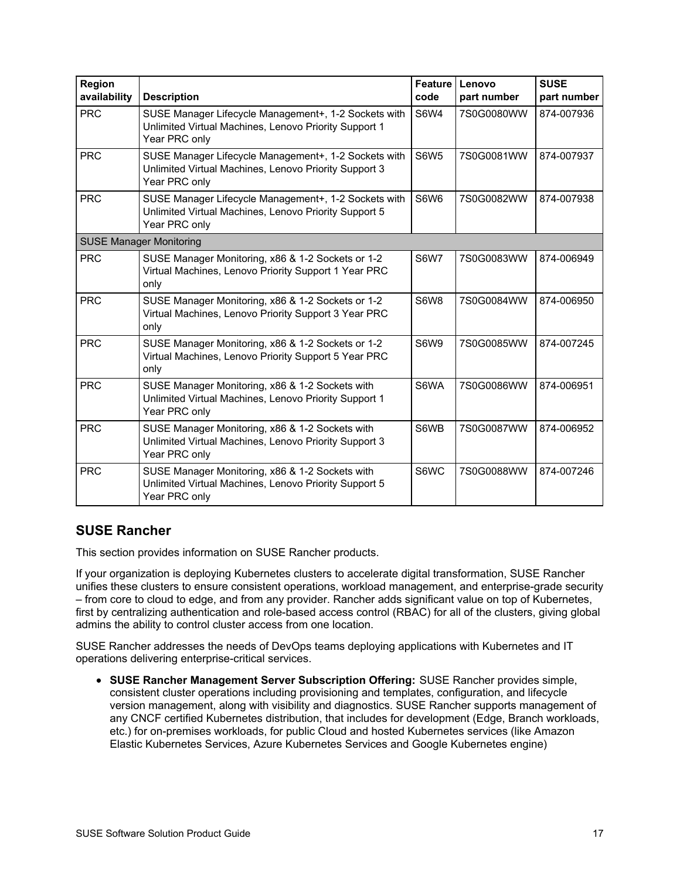| Region<br>availability | <b>Description</b>                                                                                                             | <b>Feature</b><br>code | Lenovo<br>part number | <b>SUSE</b><br>part number |
|------------------------|--------------------------------------------------------------------------------------------------------------------------------|------------------------|-----------------------|----------------------------|
| <b>PRC</b>             | SUSE Manager Lifecycle Management+, 1-2 Sockets with<br>Unlimited Virtual Machines, Lenovo Priority Support 1<br>Year PRC only | <b>S6W4</b>            | 7S0G0080WW            | 874-007936                 |
| <b>PRC</b>             | SUSE Manager Lifecycle Management+, 1-2 Sockets with<br>Unlimited Virtual Machines, Lenovo Priority Support 3<br>Year PRC only | <b>S6W5</b>            | 7S0G0081WW            | 874-007937                 |
| <b>PRC</b>             | SUSE Manager Lifecycle Management+, 1-2 Sockets with<br>Unlimited Virtual Machines, Lenovo Priority Support 5<br>Year PRC only | <b>S6W6</b>            | 7S0G0082WW            | 874-007938                 |
|                        | <b>SUSE Manager Monitoring</b>                                                                                                 |                        |                       |                            |
| <b>PRC</b>             | SUSE Manager Monitoring, x86 & 1-2 Sockets or 1-2<br>Virtual Machines, Lenovo Priority Support 1 Year PRC<br>only              | <b>S6W7</b>            | 7S0G0083WW            | 874-006949                 |
| <b>PRC</b>             | SUSE Manager Monitoring, x86 & 1-2 Sockets or 1-2<br>Virtual Machines, Lenovo Priority Support 3 Year PRC<br>only              | <b>S6W8</b>            | 7S0G0084WW            | 874-006950                 |
| <b>PRC</b>             | SUSE Manager Monitoring, x86 & 1-2 Sockets or 1-2<br>Virtual Machines, Lenovo Priority Support 5 Year PRC<br>only              | S6W9                   | 7S0G0085WW            | 874-007245                 |
| <b>PRC</b>             | SUSE Manager Monitoring, x86 & 1-2 Sockets with<br>Unlimited Virtual Machines, Lenovo Priority Support 1<br>Year PRC only      | S6WA                   | 7S0G0086WW            | 874-006951                 |
| <b>PRC</b>             | SUSE Manager Monitoring, x86 & 1-2 Sockets with<br>Unlimited Virtual Machines, Lenovo Priority Support 3<br>Year PRC only      | S6WB                   | 7S0G0087WW            | 874-006952                 |
| <b>PRC</b>             | SUSE Manager Monitoring, x86 & 1-2 Sockets with<br>Unlimited Virtual Machines, Lenovo Priority Support 5<br>Year PRC only      | S6WC                   | 7S0G0088WW            | 874-007246                 |

### **SUSE Rancher**

This section provides information on SUSE Rancher products.

If your organization is deploying Kubernetes clusters to accelerate digital transformation, SUSE Rancher unifies these clusters to ensure consistent operations, workload management, and enterprise-grade security – from core to cloud to edge, and from any provider. Rancher adds significant value on top of Kubernetes, first by centralizing authentication and role-based access control (RBAC) for all of the clusters, giving global admins the ability to control cluster access from one location.

SUSE Rancher addresses the needs of DevOps teams deploying applications with Kubernetes and IT operations delivering enterprise-critical services.

**SUSE Rancher Management Server Subscription Offering:** SUSE Rancher provides simple, consistent cluster operations including provisioning and templates, configuration, and lifecycle version management, along with visibility and diagnostics. SUSE Rancher supports management of any CNCF certified Kubernetes distribution, that includes for development (Edge, Branch workloads, etc.) for on-premises workloads, for public Cloud and hosted Kubernetes services (like Amazon Elastic Kubernetes Services, Azure Kubernetes Services and Google Kubernetes engine)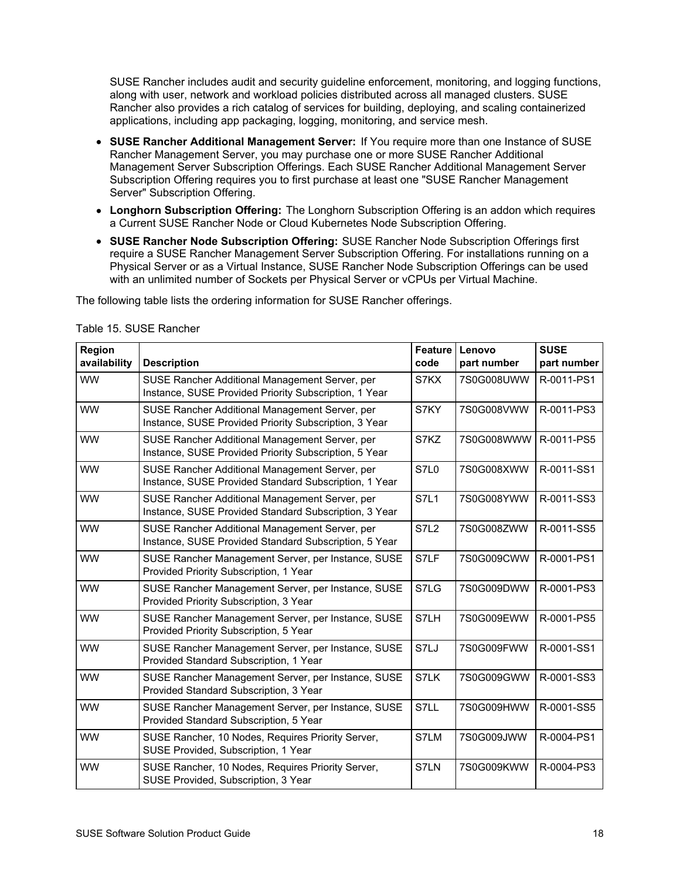SUSE Rancher includes audit and security guideline enforcement, monitoring, and logging functions, along with user, network and workload policies distributed across all managed clusters. SUSE Rancher also provides a rich catalog of services for building, deploying, and scaling containerized applications, including app packaging, logging, monitoring, and service mesh.

- **SUSE Rancher Additional Management Server:** If You require more than one Instance of SUSE Rancher Management Server, you may purchase one or more SUSE Rancher Additional Management Server Subscription Offerings. Each SUSE Rancher Additional Management Server Subscription Offering requires you to first purchase at least one "SUSE Rancher Management Server" Subscription Offering.
- **Longhorn Subscription Offering:** The Longhorn Subscription Offering is an addon which requires a Current SUSE Rancher Node or Cloud Kubernetes Node Subscription Offering.
- **SUSE Rancher Node Subscription Offering:** SUSE Rancher Node Subscription Offerings first require a SUSE Rancher Management Server Subscription Offering. For installations running on a Physical Server or as a Virtual Instance, SUSE Rancher Node Subscription Offerings can be used with an unlimited number of Sockets per Physical Server or vCPUs per Virtual Machine.

The following table lists the ordering information for SUSE Rancher offerings.

| Region<br>availability | <b>Description</b>                                                                                      | <b>Feature</b><br>code | Lenovo<br>part number | <b>SUSE</b><br>part number |
|------------------------|---------------------------------------------------------------------------------------------------------|------------------------|-----------------------|----------------------------|
| <b>WW</b>              | SUSE Rancher Additional Management Server, per<br>Instance, SUSE Provided Priority Subscription, 1 Year | S7KX                   | 7S0G008UWW            | R-0011-PS1                 |
| <b>WW</b>              | SUSE Rancher Additional Management Server, per<br>Instance, SUSE Provided Priority Subscription, 3 Year | S7KY                   | 7S0G008VWW            | R-0011-PS3                 |
| <b>WW</b>              | SUSE Rancher Additional Management Server, per<br>Instance, SUSE Provided Priority Subscription, 5 Year | S7KZ                   | 7S0G008WWW            | R-0011-PS5                 |
| <b>WW</b>              | SUSE Rancher Additional Management Server, per<br>Instance, SUSE Provided Standard Subscription, 1 Year | S7L0                   | 7S0G008XWW            | R-0011-SS1                 |
| <b>WW</b>              | SUSE Rancher Additional Management Server, per<br>Instance, SUSE Provided Standard Subscription, 3 Year | <b>S7L1</b>            | 7S0G008YWW            | R-0011-SS3                 |
| <b>WW</b>              | SUSE Rancher Additional Management Server, per<br>Instance, SUSE Provided Standard Subscription, 5 Year | <b>S7L2</b>            | 7S0G008ZWW            | R-0011-SS5                 |
| <b>WW</b>              | SUSE Rancher Management Server, per Instance, SUSE<br>Provided Priority Subscription, 1 Year            | S7LF                   | 7S0G009CWW            | R-0001-PS1                 |
| <b>WW</b>              | SUSE Rancher Management Server, per Instance, SUSE<br>Provided Priority Subscription, 3 Year            | S7LG                   | 7S0G009DWW            | R-0001-PS3                 |
| <b>WW</b>              | SUSE Rancher Management Server, per Instance, SUSE<br>Provided Priority Subscription, 5 Year            | S7LH                   | 7S0G009EWW            | R-0001-PS5                 |
| <b>WW</b>              | SUSE Rancher Management Server, per Instance, SUSE<br>Provided Standard Subscription, 1 Year            | S7LJ                   | 7S0G009FWW            | R-0001-SS1                 |
| <b>WW</b>              | SUSE Rancher Management Server, per Instance, SUSE<br>Provided Standard Subscription, 3 Year            | S7LK                   | 7S0G009GWW            | R-0001-SS3                 |
| <b>WW</b>              | SUSE Rancher Management Server, per Instance, SUSE<br>Provided Standard Subscription, 5 Year            | S7LL                   | 7S0G009HWW            | R-0001-SS5                 |
| <b>WW</b>              | SUSE Rancher, 10 Nodes, Requires Priority Server,<br>SUSE Provided, Subscription, 1 Year                | S7LM                   | 7S0G009JWW            | R-0004-PS1                 |
| <b>WW</b>              | SUSE Rancher, 10 Nodes, Requires Priority Server,<br>SUSE Provided, Subscription, 3 Year                | S7LN                   | 7S0G009KWW            | R-0004-PS3                 |

Table 15. SUSE Rancher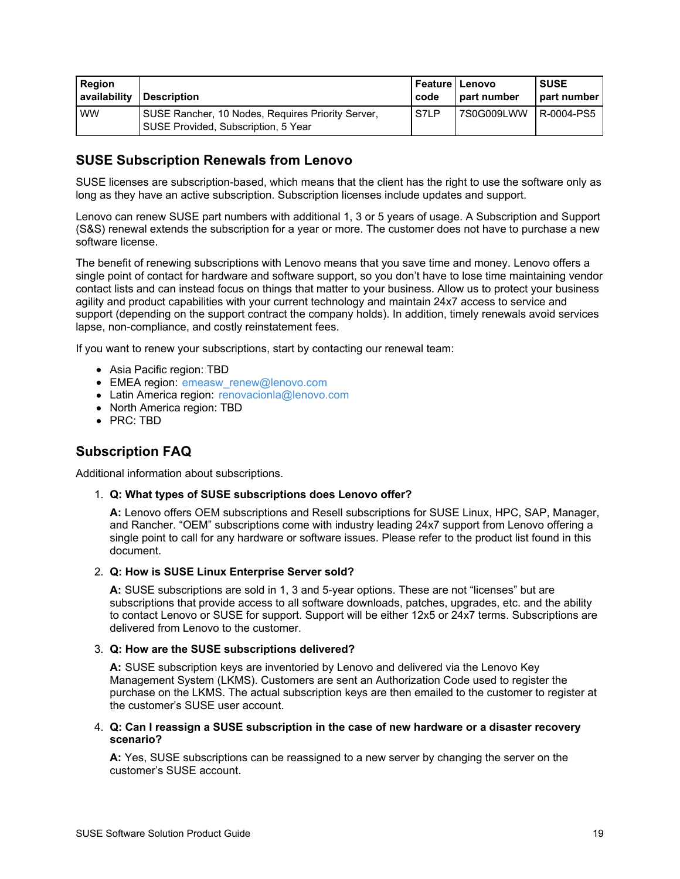| <b>Region</b><br>  availability | <b>Description</b>                                                                       | <b>Feature Lenovo</b><br>code | part number | <b>SUSE</b><br>part number |
|---------------------------------|------------------------------------------------------------------------------------------|-------------------------------|-------------|----------------------------|
| <b>WW</b>                       | SUSE Rancher, 10 Nodes, Requires Priority Server,<br>SUSE Provided, Subscription, 5 Year | S7LP                          | 7S0G009LWW  | <b>IR-0004-PS5</b>         |

### **SUSE Subscription Renewals from Lenovo**

SUSE licenses are subscription-based, which means that the client has the right to use the software only as long as they have an active subscription. Subscription licenses include updates and support.

Lenovo can renew SUSE part numbers with additional 1, 3 or 5 years of usage. A Subscription and Support (S&S) renewal extends the subscription for a year or more. The customer does not have to purchase a new software license.

The benefit of renewing subscriptions with Lenovo means that you save time and money. Lenovo offers a single point of contact for hardware and software support, so you don't have to lose time maintaining vendor contact lists and can instead focus on things that matter to your business. Allow us to protect your business agility and product capabilities with your current technology and maintain 24x7 access to service and support (depending on the support contract the company holds). In addition, timely renewals avoid services lapse, non-compliance, and costly reinstatement fees.

If you want to renew your subscriptions, start by contacting our renewal team:

- Asia Pacific region: TBD
- EMEA region: [emeasw\\_renew@lenovo.com](mailto:emeasw_renew@lenovo.com)
- Latin America region: [renovacionla@lenovo.com](mailto:renovacionla@lenovo.com)
- North America region: TBD
- PRC: TBD

### **Subscription FAQ**

Additional information about subscriptions.

#### 1. **Q: What types of SUSE subscriptions does Lenovo offer?**

**A:** Lenovo offers OEM subscriptions and Resell subscriptions for SUSE Linux, HPC, SAP, Manager, and Rancher. "OEM" subscriptions come with industry leading 24x7 support from Lenovo offering a single point to call for any hardware or software issues. Please refer to the product list found in this document.

#### 2. **Q: How is SUSE Linux Enterprise Server sold?**

**A:** SUSE subscriptions are sold in 1, 3 and 5-year options. These are not "licenses" but are subscriptions that provide access to all software downloads, patches, upgrades, etc. and the ability to contact Lenovo or SUSE for support. Support will be either 12x5 or 24x7 terms. Subscriptions are delivered from Lenovo to the customer.

#### 3. **Q: How are the SUSE subscriptions delivered?**

**A:** SUSE subscription keys are inventoried by Lenovo and delivered via the Lenovo Key Management System (LKMS). Customers are sent an Authorization Code used to register the purchase on the LKMS. The actual subscription keys are then emailed to the customer to register at the customer's SUSE user account.

#### 4. **Q: Can I reassign a SUSE subscription in the case of new hardware or a disaster recovery scenario?**

**A:** Yes, SUSE subscriptions can be reassigned to a new server by changing the server on the customer's SUSE account.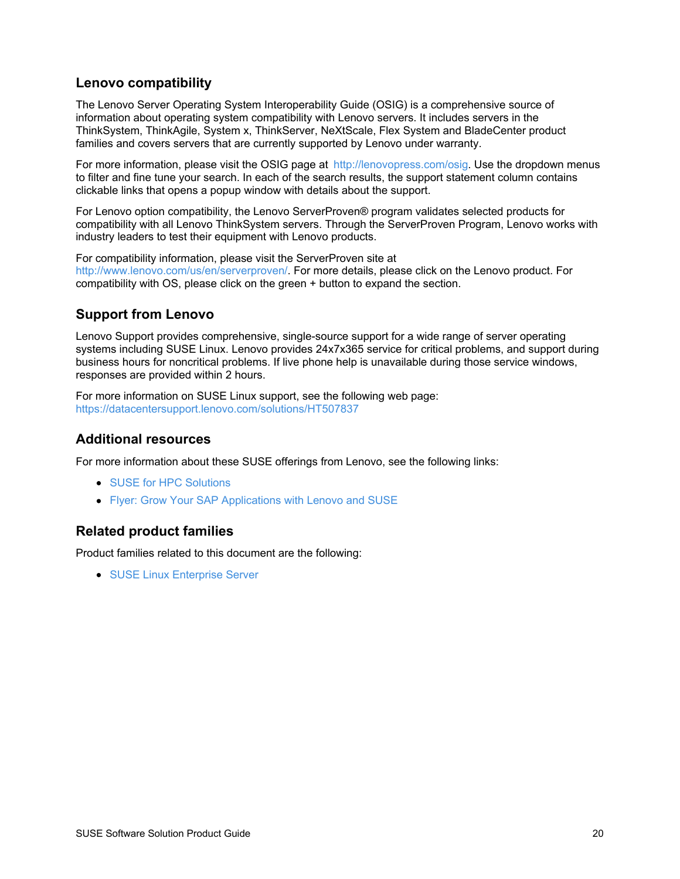### **Lenovo compatibility**

The Lenovo Server Operating System Interoperability Guide (OSIG) is a comprehensive source of information about operating system compatibility with Lenovo servers. It includes servers in the ThinkSystem, ThinkAgile, System x, ThinkServer, NeXtScale, Flex System and BladeCenter product families and covers servers that are currently supported by Lenovo under warranty.

For more information, please visit the OSIG page at <http://lenovopress.com/osig>. Use the dropdown menus to filter and fine tune your search. In each of the search results, the support statement column contains clickable links that opens a popup window with details about the support.

For Lenovo option compatibility, the Lenovo ServerProven® program validates selected products for compatibility with all Lenovo ThinkSystem servers. Through the ServerProven Program, Lenovo works with industry leaders to test their equipment with Lenovo products.

For compatibility information, please visit the ServerProven site at <http://www.lenovo.com/us/en/serverproven/>. For more details, please click on the Lenovo product. For compatibility with OS, please click on the green + button to expand the section.

# **Support from Lenovo**

Lenovo Support provides comprehensive, single-source support for a wide range of server operating systems including SUSE Linux. Lenovo provides 24x7x365 service for critical problems, and support during business hours for noncritical problems. If live phone help is unavailable during those service windows, responses are provided within 2 hours.

For more information on SUSE Linux support, see the following web page: <https://datacentersupport.lenovo.com/solutions/HT507837>

### **Additional resources**

For more information about these SUSE offerings from Lenovo, see the following links:

- SUSE for HPC [Solutions](https://www.suse.com/products/server/hpc/)
- Flyer: Grow Your SAP [Applications](https://d3kex6ty6anzzh.cloudfront.net/uploads/c1/c1ed5e74bfa034fc48d353439867857903c05187.pdf) with Lenovo and SUSE

# **Related product families**

Product families related to this document are the following:

**SUSE Linux [Enterprise](https://lenovopress.com/software/os/suse) Server**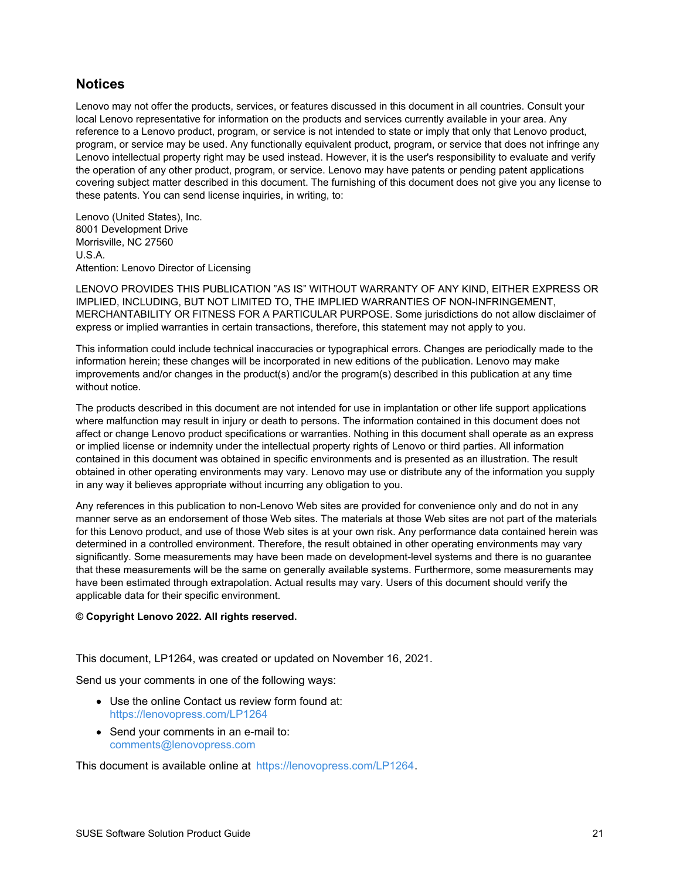### **Notices**

Lenovo may not offer the products, services, or features discussed in this document in all countries. Consult your local Lenovo representative for information on the products and services currently available in your area. Any reference to a Lenovo product, program, or service is not intended to state or imply that only that Lenovo product, program, or service may be used. Any functionally equivalent product, program, or service that does not infringe any Lenovo intellectual property right may be used instead. However, it is the user's responsibility to evaluate and verify the operation of any other product, program, or service. Lenovo may have patents or pending patent applications covering subject matter described in this document. The furnishing of this document does not give you any license to these patents. You can send license inquiries, in writing, to:

Lenovo (United States), Inc. 8001 Development Drive Morrisville, NC 27560 U.S.A. Attention: Lenovo Director of Licensing

LENOVO PROVIDES THIS PUBLICATION "AS IS" WITHOUT WARRANTY OF ANY KIND, EITHER EXPRESS OR IMPLIED, INCLUDING, BUT NOT LIMITED TO, THE IMPLIED WARRANTIES OF NON-INFRINGEMENT, MERCHANTABILITY OR FITNESS FOR A PARTICULAR PURPOSE. Some jurisdictions do not allow disclaimer of express or implied warranties in certain transactions, therefore, this statement may not apply to you.

This information could include technical inaccuracies or typographical errors. Changes are periodically made to the information herein; these changes will be incorporated in new editions of the publication. Lenovo may make improvements and/or changes in the product(s) and/or the program(s) described in this publication at any time without notice.

The products described in this document are not intended for use in implantation or other life support applications where malfunction may result in injury or death to persons. The information contained in this document does not affect or change Lenovo product specifications or warranties. Nothing in this document shall operate as an express or implied license or indemnity under the intellectual property rights of Lenovo or third parties. All information contained in this document was obtained in specific environments and is presented as an illustration. The result obtained in other operating environments may vary. Lenovo may use or distribute any of the information you supply in any way it believes appropriate without incurring any obligation to you.

Any references in this publication to non-Lenovo Web sites are provided for convenience only and do not in any manner serve as an endorsement of those Web sites. The materials at those Web sites are not part of the materials for this Lenovo product, and use of those Web sites is at your own risk. Any performance data contained herein was determined in a controlled environment. Therefore, the result obtained in other operating environments may vary significantly. Some measurements may have been made on development-level systems and there is no guarantee that these measurements will be the same on generally available systems. Furthermore, some measurements may have been estimated through extrapolation. Actual results may vary. Users of this document should verify the applicable data for their specific environment.

#### **© Copyright Lenovo 2022. All rights reserved.**

This document, LP1264, was created or updated on November 16, 2021.

Send us your comments in one of the following ways:

- Use the online Contact us review form found at: <https://lenovopress.com/LP1264>
- Send your comments in an e-mail to: [comments@lenovopress.com](mailto:comments@lenovopress.com?subject=Feedback for LP1264)

This document is available online at <https://lenovopress.com/LP1264>.